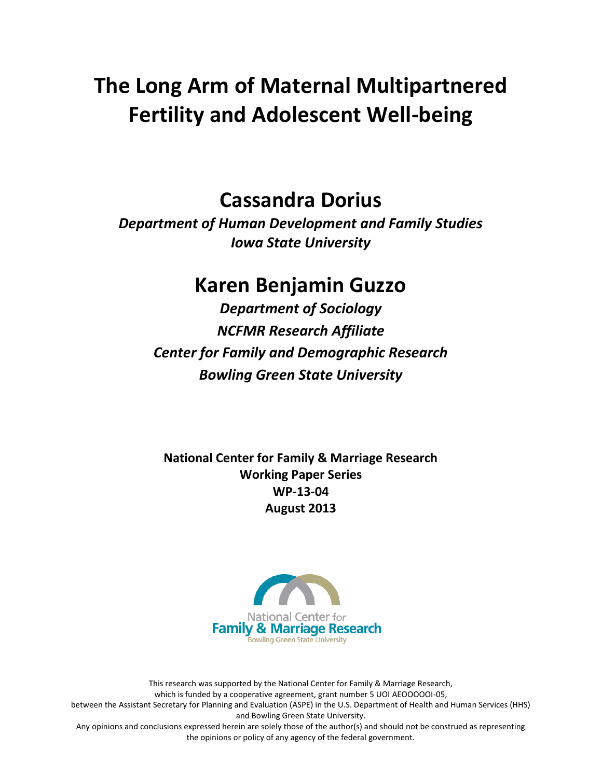# **The Long Arm of Maternal Multipartnered Fertility and Adolescent Well-being**

### **Cassandra Dorius**

*Department of Human Development and Family Studies Iowa State University*

### **Karen Benjamin Guzzo**

*Department of Sociology NCFMR Research Affiliate Center for Family and Demographic Research Bowling Green State University*

**National Center for Family & Marriage Research Working Paper Series WP-13-04 August 2013**



This research was supported by the National Center for Family & Marriage Research, which is funded by a cooperative agreement, grant number 5 UOI AEOOOOOI-05, between the Assistant Secretary for Planning and Evaluation (ASPE) in the U.S. Department of Health and Human Services (HHS) and Bowling Green State University. Any opinions and conclusions expressed herein are solely those of the author(s) and should not be construed as representing the opinions or policy of any agency of the federal government.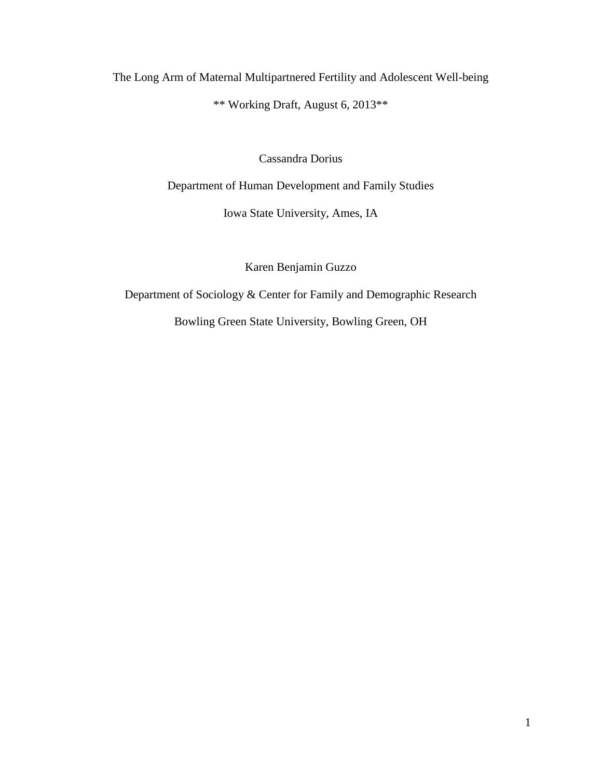The Long Arm of Maternal Multipartnered Fertility and Adolescent Well-being \*\* Working Draft, August 6, 2013\*\*

Cassandra Dorius

Department of Human Development and Family Studies

Iowa State University, Ames, IA

Karen Benjamin Guzzo

Department of Sociology & Center for Family and Demographic Research

Bowling Green State University, Bowling Green, OH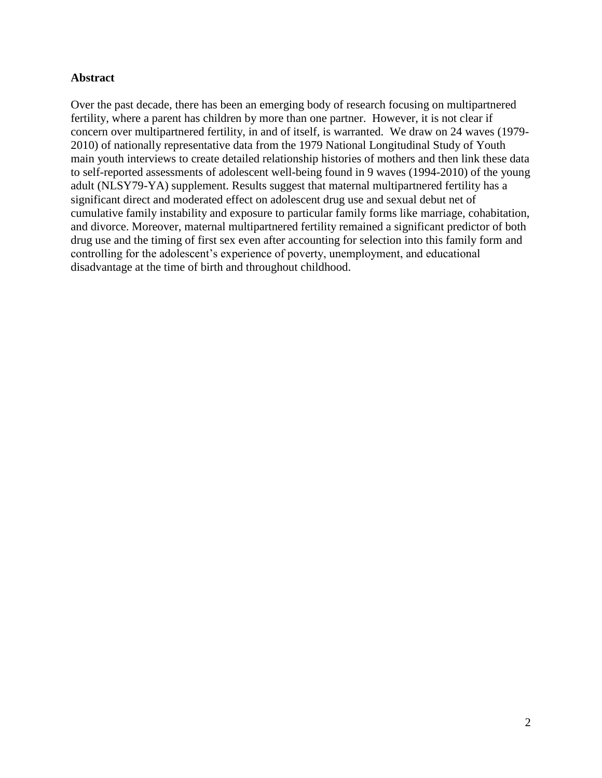#### **Abstract**

Over the past decade, there has been an emerging body of research focusing on multipartnered fertility, where a parent has children by more than one partner. However, it is not clear if concern over multipartnered fertility, in and of itself, is warranted. We draw on 24 waves (1979- 2010) of nationally representative data from the 1979 National Longitudinal Study of Youth main youth interviews to create detailed relationship histories of mothers and then link these data to self-reported assessments of adolescent well-being found in 9 waves (1994-2010) of the young adult (NLSY79-YA) supplement. Results suggest that maternal multipartnered fertility has a significant direct and moderated effect on adolescent drug use and sexual debut net of cumulative family instability and exposure to particular family forms like marriage, cohabitation, and divorce. Moreover, maternal multipartnered fertility remained a significant predictor of both drug use and the timing of first sex even after accounting for selection into this family form and controlling for the adolescent's experience of poverty, unemployment, and educational disadvantage at the time of birth and throughout childhood.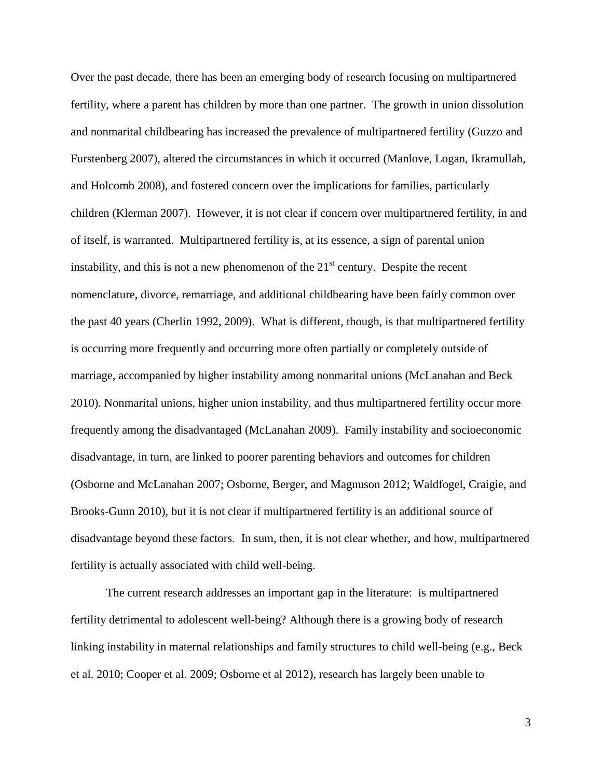Over the past decade, there has been an emerging body of research focusing on multipartnered fertility, where a parent has children by more than one partner. The growth in union dissolution and nonmarital childbearing has increased the prevalence of multipartnered fertility (Guzzo and Furstenberg 2007), altered the circumstances in which it occurred (Manlove, Logan, Ikramullah, and Holcomb 2008), and fostered concern over the implications for families, particularly children (Klerman 2007). However, it is not clear if concern over multipartnered fertility, in and of itself, is warranted. Multipartnered fertility is, at its essence, a sign of parental union instability, and this is not a new phenomenon of the  $21<sup>st</sup>$  century. Despite the recent nomenclature, divorce, remarriage, and additional childbearing have been fairly common over the past 40 years (Cherlin 1992, 2009). What is different, though, is that multipartnered fertility is occurring more frequently and occurring more often partially or completely outside of marriage, accompanied by higher instability among nonmarital unions (McLanahan and Beck 2010). Nonmarital unions, higher union instability, and thus multipartnered fertility occur more frequently among the disadvantaged (McLanahan 2009). Family instability and socioeconomic disadvantage, in turn, are linked to poorer parenting behaviors and outcomes for children (Osborne and McLanahan 2007; Osborne, Berger, and Magnuson 2012; Waldfogel, Craigie, and Brooks-Gunn 2010), but it is not clear if multipartnered fertility is an additional source of disadvantage beyond these factors. In sum, then, it is not clear whether, and how, multipartnered fertility is actually associated with child well-being.

The current research addresses an important gap in the literature: is multipartnered fertility detrimental to adolescent well-being? Although there is a growing body of research linking instability in maternal relationships and family structures to child well-being (e.g., Beck et al. 2010; Cooper et al. 2009; Osborne et al 2012), research has largely been unable to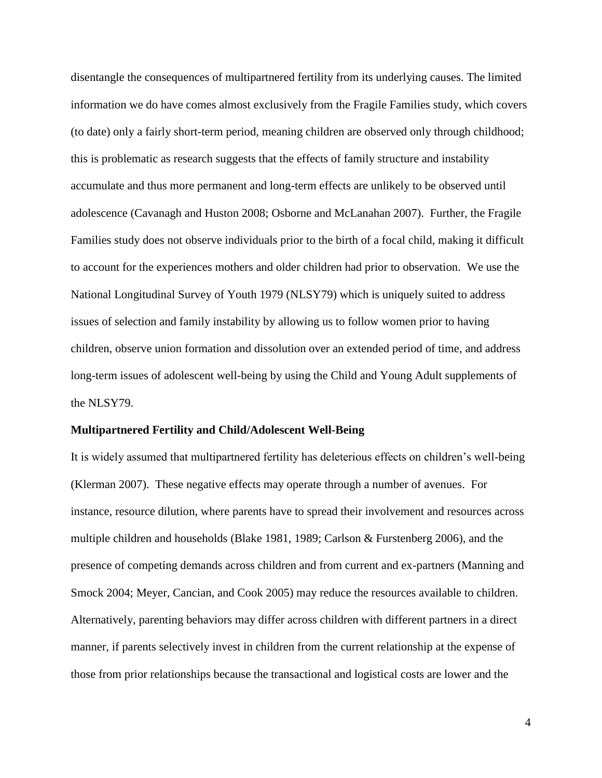disentangle the consequences of multipartnered fertility from its underlying causes. The limited information we do have comes almost exclusively from the Fragile Families study, which covers (to date) only a fairly short-term period, meaning children are observed only through childhood; this is problematic as research suggests that the effects of family structure and instability accumulate and thus more permanent and long-term effects are unlikely to be observed until adolescence (Cavanagh and Huston 2008; Osborne and McLanahan 2007). Further, the Fragile Families study does not observe individuals prior to the birth of a focal child, making it difficult to account for the experiences mothers and older children had prior to observation. We use the National Longitudinal Survey of Youth 1979 (NLSY79) which is uniquely suited to address issues of selection and family instability by allowing us to follow women prior to having children, observe union formation and dissolution over an extended period of time, and address long-term issues of adolescent well-being by using the Child and Young Adult supplements of the NLSY79.

#### **Multipartnered Fertility and Child/Adolescent Well-Being**

It is widely assumed that multipartnered fertility has deleterious effects on children's well-being (Klerman 2007). These negative effects may operate through a number of avenues. For instance, resource dilution, where parents have to spread their involvement and resources across multiple children and households (Blake 1981, 1989; Carlson & Furstenberg 2006), and the presence of competing demands across children and from current and ex-partners (Manning and Smock 2004; Meyer, Cancian, and Cook 2005) may reduce the resources available to children. Alternatively, parenting behaviors may differ across children with different partners in a direct manner, if parents selectively invest in children from the current relationship at the expense of those from prior relationships because the transactional and logistical costs are lower and the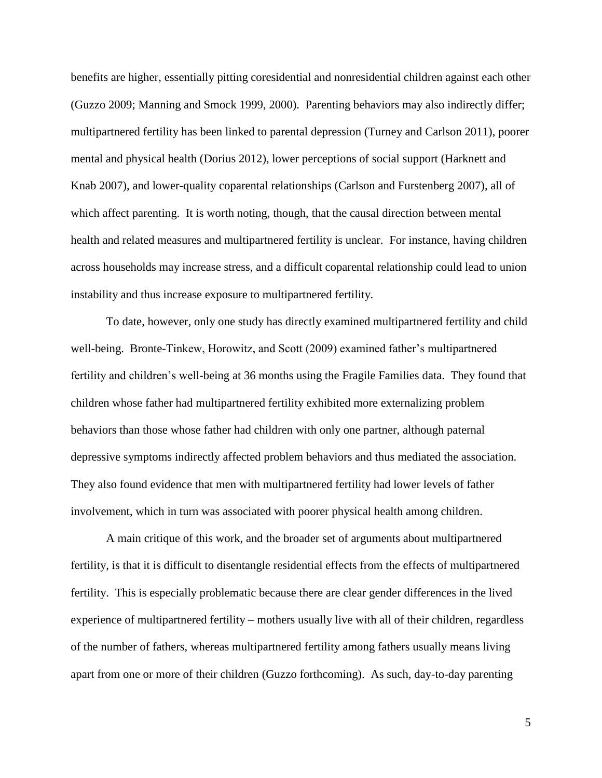benefits are higher, essentially pitting coresidential and nonresidential children against each other (Guzzo 2009; Manning and Smock 1999, 2000). Parenting behaviors may also indirectly differ; multipartnered fertility has been linked to parental depression (Turney and Carlson 2011), poorer mental and physical health (Dorius 2012), lower perceptions of social support (Harknett and Knab 2007), and lower-quality coparental relationships (Carlson and Furstenberg 2007), all of which affect parenting. It is worth noting, though, that the causal direction between mental health and related measures and multipartnered fertility is unclear. For instance, having children across households may increase stress, and a difficult coparental relationship could lead to union instability and thus increase exposure to multipartnered fertility.

To date, however, only one study has directly examined multipartnered fertility and child well-being. Bronte-Tinkew, Horowitz, and Scott (2009) examined father's multipartnered fertility and children's well-being at 36 months using the Fragile Families data. They found that children whose father had multipartnered fertility exhibited more externalizing problem behaviors than those whose father had children with only one partner, although paternal depressive symptoms indirectly affected problem behaviors and thus mediated the association. They also found evidence that men with multipartnered fertility had lower levels of father involvement, which in turn was associated with poorer physical health among children.

A main critique of this work, and the broader set of arguments about multipartnered fertility, is that it is difficult to disentangle residential effects from the effects of multipartnered fertility. This is especially problematic because there are clear gender differences in the lived experience of multipartnered fertility – mothers usually live with all of their children, regardless of the number of fathers, whereas multipartnered fertility among fathers usually means living apart from one or more of their children (Guzzo forthcoming). As such, day-to-day parenting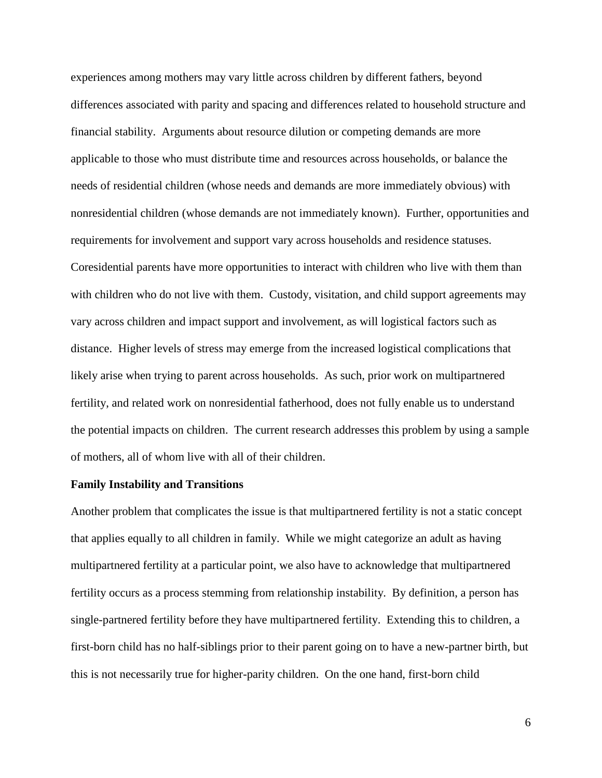experiences among mothers may vary little across children by different fathers, beyond differences associated with parity and spacing and differences related to household structure and financial stability. Arguments about resource dilution or competing demands are more applicable to those who must distribute time and resources across households, or balance the needs of residential children (whose needs and demands are more immediately obvious) with nonresidential children (whose demands are not immediately known). Further, opportunities and requirements for involvement and support vary across households and residence statuses. Coresidential parents have more opportunities to interact with children who live with them than with children who do not live with them. Custody, visitation, and child support agreements may vary across children and impact support and involvement, as will logistical factors such as distance. Higher levels of stress may emerge from the increased logistical complications that likely arise when trying to parent across households. As such, prior work on multipartnered fertility, and related work on nonresidential fatherhood, does not fully enable us to understand the potential impacts on children. The current research addresses this problem by using a sample of mothers, all of whom live with all of their children.

#### **Family Instability and Transitions**

Another problem that complicates the issue is that multipartnered fertility is not a static concept that applies equally to all children in family. While we might categorize an adult as having multipartnered fertility at a particular point, we also have to acknowledge that multipartnered fertility occurs as a process stemming from relationship instability. By definition, a person has single-partnered fertility before they have multipartnered fertility. Extending this to children, a first-born child has no half-siblings prior to their parent going on to have a new-partner birth, but this is not necessarily true for higher-parity children. On the one hand, first-born child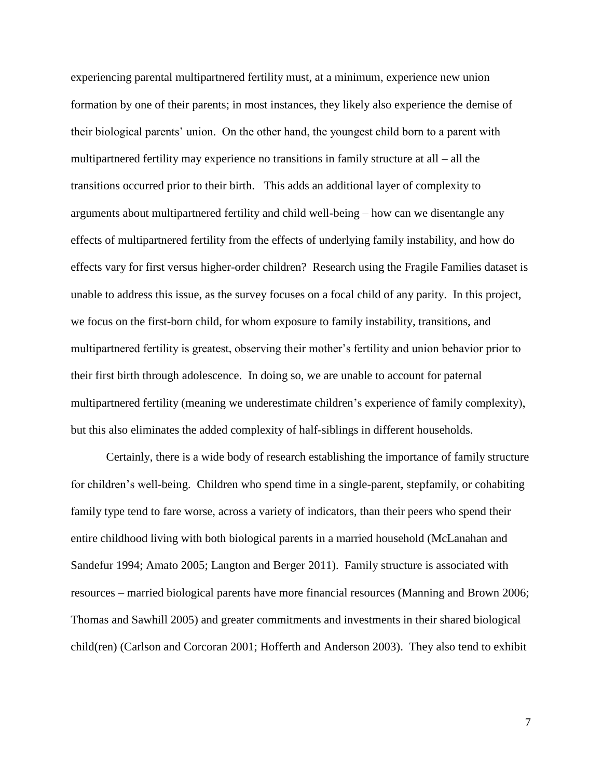experiencing parental multipartnered fertility must, at a minimum, experience new union formation by one of their parents; in most instances, they likely also experience the demise of their biological parents' union. On the other hand, the youngest child born to a parent with multipartnered fertility may experience no transitions in family structure at all – all the transitions occurred prior to their birth. This adds an additional layer of complexity to arguments about multipartnered fertility and child well-being – how can we disentangle any effects of multipartnered fertility from the effects of underlying family instability, and how do effects vary for first versus higher-order children? Research using the Fragile Families dataset is unable to address this issue, as the survey focuses on a focal child of any parity. In this project, we focus on the first-born child, for whom exposure to family instability, transitions, and multipartnered fertility is greatest, observing their mother's fertility and union behavior prior to their first birth through adolescence. In doing so, we are unable to account for paternal multipartnered fertility (meaning we underestimate children's experience of family complexity), but this also eliminates the added complexity of half-siblings in different households.

Certainly, there is a wide body of research establishing the importance of family structure for children's well-being. Children who spend time in a single-parent, stepfamily, or cohabiting family type tend to fare worse, across a variety of indicators, than their peers who spend their entire childhood living with both biological parents in a married household (McLanahan and Sandefur 1994; Amato 2005; Langton and Berger 2011). Family structure is associated with resources – married biological parents have more financial resources (Manning and Brown 2006; Thomas and Sawhill 2005) and greater commitments and investments in their shared biological child(ren) (Carlson and Corcoran 2001; Hofferth and Anderson 2003). They also tend to exhibit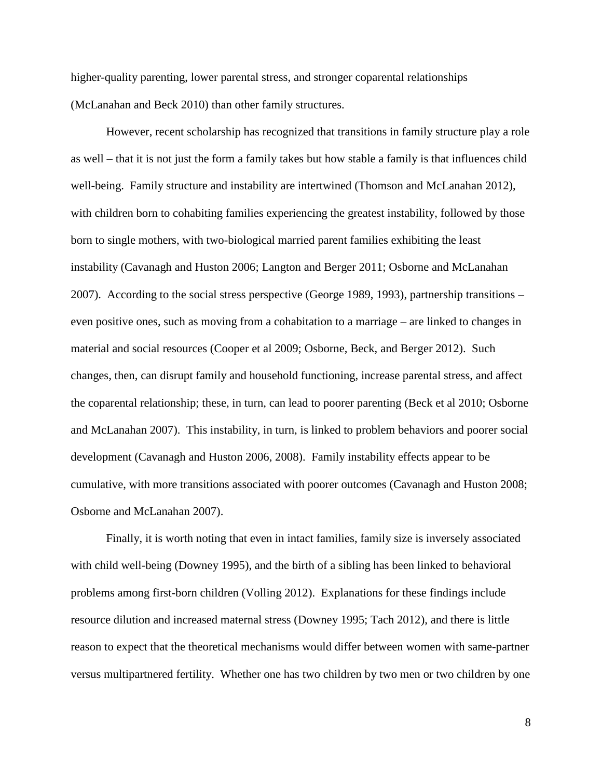higher-quality parenting, lower parental stress, and stronger coparental relationships (McLanahan and Beck 2010) than other family structures.

However, recent scholarship has recognized that transitions in family structure play a role as well – that it is not just the form a family takes but how stable a family is that influences child well-being. Family structure and instability are intertwined (Thomson and McLanahan 2012), with children born to cohabiting families experiencing the greatest instability, followed by those born to single mothers, with two-biological married parent families exhibiting the least instability (Cavanagh and Huston 2006; Langton and Berger 2011; Osborne and McLanahan 2007). According to the social stress perspective (George 1989, 1993), partnership transitions – even positive ones, such as moving from a cohabitation to a marriage – are linked to changes in material and social resources (Cooper et al 2009; Osborne, Beck, and Berger 2012). Such changes, then, can disrupt family and household functioning, increase parental stress, and affect the coparental relationship; these, in turn, can lead to poorer parenting (Beck et al 2010; Osborne and McLanahan 2007). This instability, in turn, is linked to problem behaviors and poorer social development (Cavanagh and Huston 2006, 2008). Family instability effects appear to be cumulative, with more transitions associated with poorer outcomes (Cavanagh and Huston 2008; Osborne and McLanahan 2007).

Finally, it is worth noting that even in intact families, family size is inversely associated with child well-being (Downey 1995), and the birth of a sibling has been linked to behavioral problems among first-born children (Volling 2012). Explanations for these findings include resource dilution and increased maternal stress (Downey 1995; Tach 2012), and there is little reason to expect that the theoretical mechanisms would differ between women with same-partner versus multipartnered fertility. Whether one has two children by two men or two children by one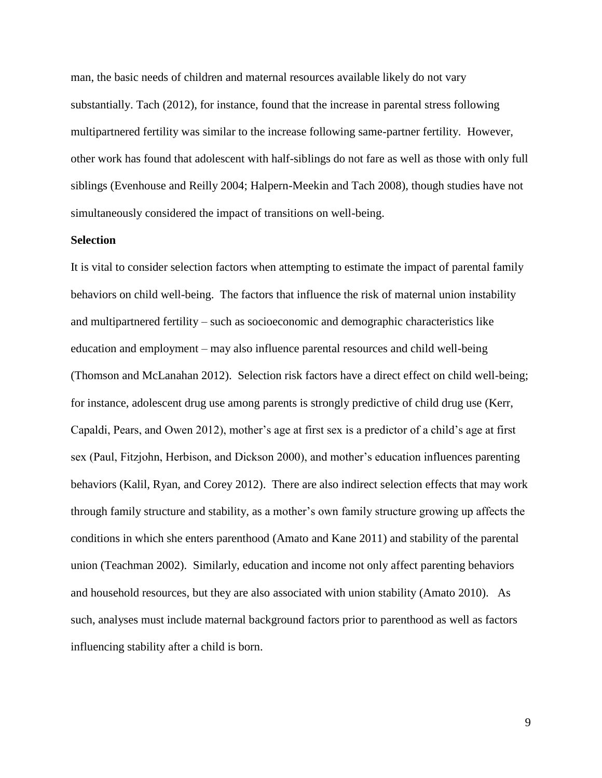man, the basic needs of children and maternal resources available likely do not vary substantially. Tach (2012), for instance, found that the increase in parental stress following multipartnered fertility was similar to the increase following same-partner fertility. However, other work has found that adolescent with half-siblings do not fare as well as those with only full siblings (Evenhouse and Reilly 2004; Halpern-Meekin and Tach 2008), though studies have not simultaneously considered the impact of transitions on well-being.

#### **Selection**

It is vital to consider selection factors when attempting to estimate the impact of parental family behaviors on child well-being. The factors that influence the risk of maternal union instability and multipartnered fertility – such as socioeconomic and demographic characteristics like education and employment – may also influence parental resources and child well-being (Thomson and McLanahan 2012). Selection risk factors have a direct effect on child well-being; for instance, adolescent drug use among parents is strongly predictive of child drug use (Kerr, Capaldi, Pears, and Owen 2012), mother's age at first sex is a predictor of a child's age at first sex (Paul, Fitzjohn, Herbison, and Dickson 2000), and mother's education influences parenting behaviors (Kalil, Ryan, and Corey 2012). There are also indirect selection effects that may work through family structure and stability, as a mother's own family structure growing up affects the conditions in which she enters parenthood (Amato and Kane 2011) and stability of the parental union (Teachman 2002). Similarly, education and income not only affect parenting behaviors and household resources, but they are also associated with union stability (Amato 2010). As such, analyses must include maternal background factors prior to parenthood as well as factors influencing stability after a child is born.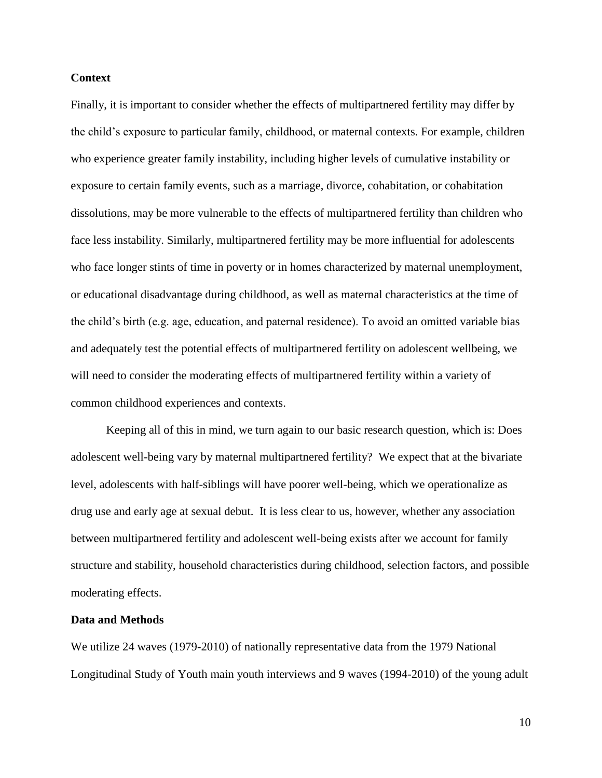#### **Context**

Finally, it is important to consider whether the effects of multipartnered fertility may differ by the child's exposure to particular family, childhood, or maternal contexts. For example, children who experience greater family instability, including higher levels of cumulative instability or exposure to certain family events, such as a marriage, divorce, cohabitation, or cohabitation dissolutions, may be more vulnerable to the effects of multipartnered fertility than children who face less instability. Similarly, multipartnered fertility may be more influential for adolescents who face longer stints of time in poverty or in homes characterized by maternal unemployment, or educational disadvantage during childhood, as well as maternal characteristics at the time of the child's birth (e.g. age, education, and paternal residence). To avoid an omitted variable bias and adequately test the potential effects of multipartnered fertility on adolescent wellbeing, we will need to consider the moderating effects of multipartnered fertility within a variety of common childhood experiences and contexts.

Keeping all of this in mind, we turn again to our basic research question, which is: Does adolescent well-being vary by maternal multipartnered fertility? We expect that at the bivariate level, adolescents with half-siblings will have poorer well-being, which we operationalize as drug use and early age at sexual debut. It is less clear to us, however, whether any association between multipartnered fertility and adolescent well-being exists after we account for family structure and stability, household characteristics during childhood, selection factors, and possible moderating effects.

#### **Data and Methods**

We utilize 24 waves (1979-2010) of nationally representative data from the 1979 National Longitudinal Study of Youth main youth interviews and 9 waves (1994-2010) of the young adult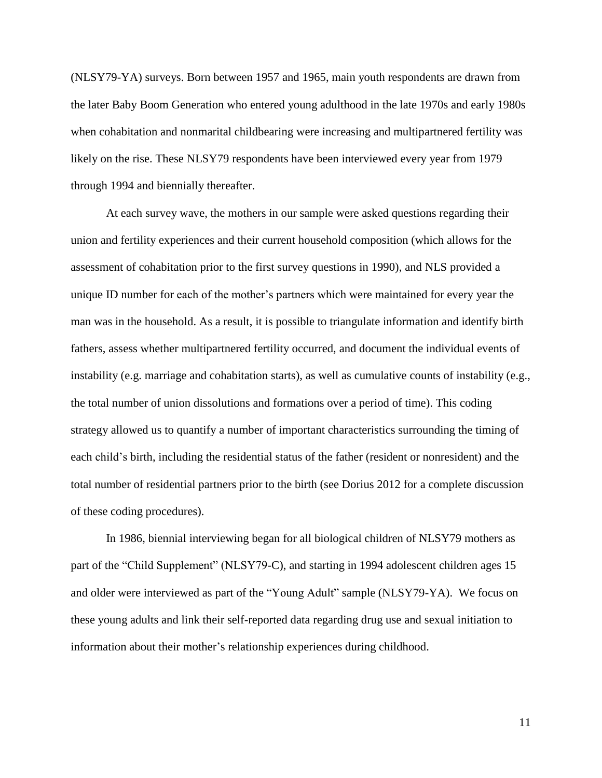(NLSY79-YA) surveys. Born between 1957 and 1965, main youth respondents are drawn from the later Baby Boom Generation who entered young adulthood in the late 1970s and early 1980s when cohabitation and nonmarital childbearing were increasing and multipartnered fertility was likely on the rise. These NLSY79 respondents have been interviewed every year from 1979 through 1994 and biennially thereafter.

At each survey wave, the mothers in our sample were asked questions regarding their union and fertility experiences and their current household composition (which allows for the assessment of cohabitation prior to the first survey questions in 1990), and NLS provided a unique ID number for each of the mother's partners which were maintained for every year the man was in the household. As a result, it is possible to triangulate information and identify birth fathers, assess whether multipartnered fertility occurred, and document the individual events of instability (e.g. marriage and cohabitation starts), as well as cumulative counts of instability (e.g., the total number of union dissolutions and formations over a period of time). This coding strategy allowed us to quantify a number of important characteristics surrounding the timing of each child's birth, including the residential status of the father (resident or nonresident) and the total number of residential partners prior to the birth (see Dorius 2012 for a complete discussion of these coding procedures).

In 1986, biennial interviewing began for all biological children of NLSY79 mothers as part of the "Child Supplement" (NLSY79-C), and starting in 1994 adolescent children ages 15 and older were interviewed as part of the "Young Adult" sample (NLSY79-YA). We focus on these young adults and link their self-reported data regarding drug use and sexual initiation to information about their mother's relationship experiences during childhood.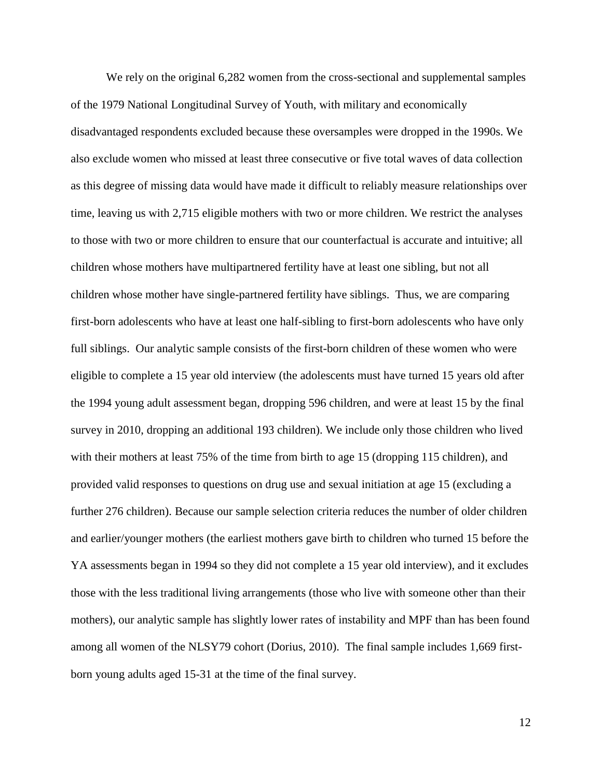We rely on the original 6,282 women from the cross-sectional and supplemental samples of the 1979 National Longitudinal Survey of Youth, with military and economically disadvantaged respondents excluded because these oversamples were dropped in the 1990s. We also exclude women who missed at least three consecutive or five total waves of data collection as this degree of missing data would have made it difficult to reliably measure relationships over time, leaving us with 2,715 eligible mothers with two or more children. We restrict the analyses to those with two or more children to ensure that our counterfactual is accurate and intuitive; all children whose mothers have multipartnered fertility have at least one sibling, but not all children whose mother have single-partnered fertility have siblings. Thus, we are comparing first-born adolescents who have at least one half-sibling to first-born adolescents who have only full siblings. Our analytic sample consists of the first-born children of these women who were eligible to complete a 15 year old interview (the adolescents must have turned 15 years old after the 1994 young adult assessment began, dropping 596 children, and were at least 15 by the final survey in 2010, dropping an additional 193 children). We include only those children who lived with their mothers at least 75% of the time from birth to age 15 (dropping 115 children), and provided valid responses to questions on drug use and sexual initiation at age 15 (excluding a further 276 children). Because our sample selection criteria reduces the number of older children and earlier/younger mothers (the earliest mothers gave birth to children who turned 15 before the YA assessments began in 1994 so they did not complete a 15 year old interview), and it excludes those with the less traditional living arrangements (those who live with someone other than their mothers), our analytic sample has slightly lower rates of instability and MPF than has been found among all women of the NLSY79 cohort (Dorius, 2010). The final sample includes 1,669 firstborn young adults aged 15-31 at the time of the final survey.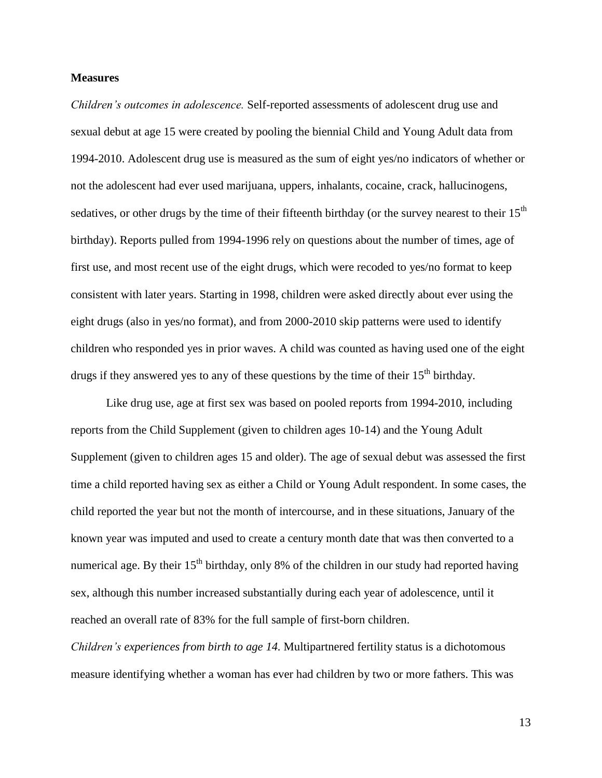#### **Measures**

*Children's outcomes in adolescence.* Self-reported assessments of adolescent drug use and sexual debut at age 15 were created by pooling the biennial Child and Young Adult data from 1994-2010. Adolescent drug use is measured as the sum of eight yes/no indicators of whether or not the adolescent had ever used marijuana, uppers, inhalants, cocaine, crack, hallucinogens, sedatives, or other drugs by the time of their fifteenth birthday (or the survey nearest to their 15<sup>th</sup> birthday). Reports pulled from 1994-1996 rely on questions about the number of times, age of first use, and most recent use of the eight drugs, which were recoded to yes/no format to keep consistent with later years. Starting in 1998, children were asked directly about ever using the eight drugs (also in yes/no format), and from 2000-2010 skip patterns were used to identify children who responded yes in prior waves. A child was counted as having used one of the eight drugs if they answered yes to any of these questions by the time of their  $15<sup>th</sup>$  birthday.

Like drug use, age at first sex was based on pooled reports from 1994-2010, including reports from the Child Supplement (given to children ages 10-14) and the Young Adult Supplement (given to children ages 15 and older). The age of sexual debut was assessed the first time a child reported having sex as either a Child or Young Adult respondent. In some cases, the child reported the year but not the month of intercourse, and in these situations, January of the known year was imputed and used to create a century month date that was then converted to a numerical age. By their  $15<sup>th</sup>$  birthday, only 8% of the children in our study had reported having sex, although this number increased substantially during each year of adolescence, until it reached an overall rate of 83% for the full sample of first-born children.

*Children's experiences from birth to age 14.* Multipartnered fertility status is a dichotomous measure identifying whether a woman has ever had children by two or more fathers. This was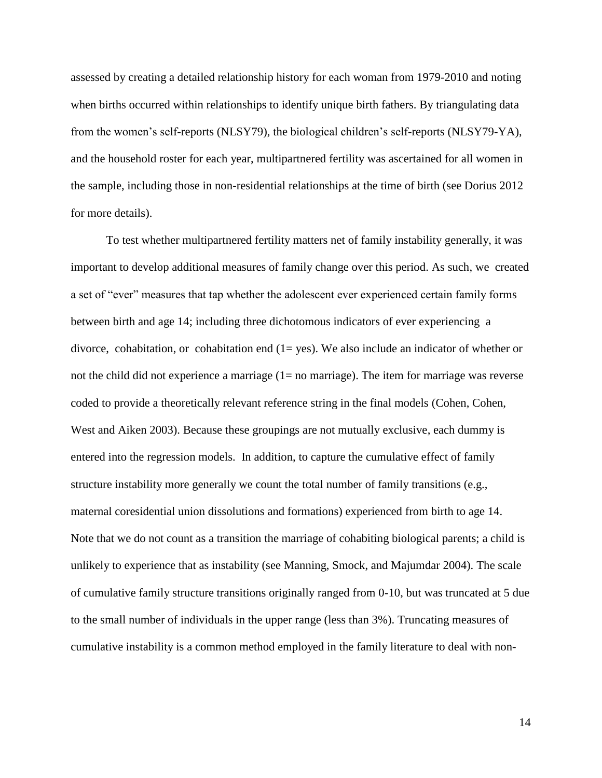assessed by creating a detailed relationship history for each woman from 1979-2010 and noting when births occurred within relationships to identify unique birth fathers. By triangulating data from the women's self-reports (NLSY79), the biological children's self-reports (NLSY79-YA), and the household roster for each year, multipartnered fertility was ascertained for all women in the sample, including those in non-residential relationships at the time of birth (see Dorius 2012 for more details).

To test whether multipartnered fertility matters net of family instability generally, it was important to develop additional measures of family change over this period. As such, we created a set of "ever" measures that tap whether the adolescent ever experienced certain family forms between birth and age 14; including three dichotomous indicators of ever experiencing a divorce, cohabitation, or cohabitation end  $(1 = yes)$ . We also include an indicator of whether or not the child did not experience a marriage (1= no marriage). The item for marriage was reverse coded to provide a theoretically relevant reference string in the final models (Cohen, Cohen, West and Aiken 2003). Because these groupings are not mutually exclusive, each dummy is entered into the regression models. In addition, to capture the cumulative effect of family structure instability more generally we count the total number of family transitions (e.g., maternal coresidential union dissolutions and formations) experienced from birth to age 14. Note that we do not count as a transition the marriage of cohabiting biological parents; a child is unlikely to experience that as instability (see Manning, Smock, and Majumdar 2004). The scale of cumulative family structure transitions originally ranged from 0-10, but was truncated at 5 due to the small number of individuals in the upper range (less than 3%). Truncating measures of cumulative instability is a common method employed in the family literature to deal with non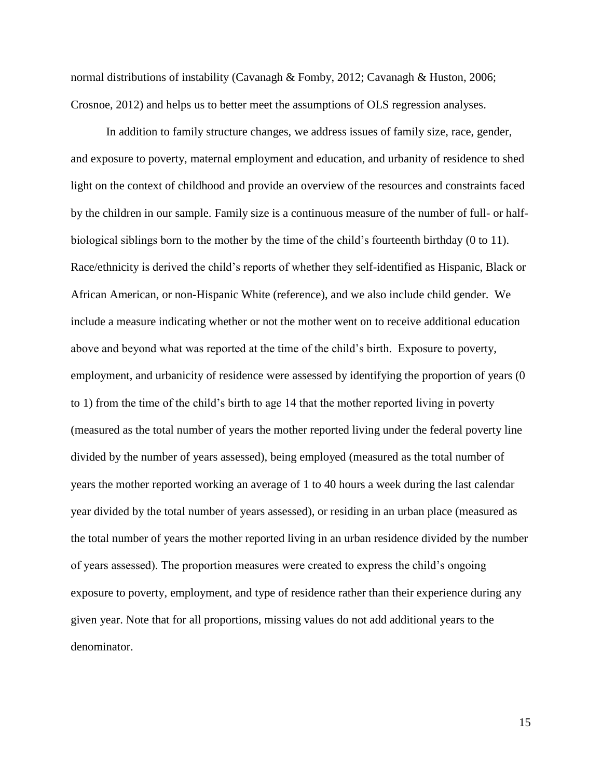normal distributions of instability (Cavanagh & Fomby, 2012; Cavanagh & Huston, 2006; Crosnoe, 2012) and helps us to better meet the assumptions of OLS regression analyses.

In addition to family structure changes, we address issues of family size, race, gender, and exposure to poverty, maternal employment and education, and urbanity of residence to shed light on the context of childhood and provide an overview of the resources and constraints faced by the children in our sample. Family size is a continuous measure of the number of full- or halfbiological siblings born to the mother by the time of the child's fourteenth birthday (0 to 11). Race/ethnicity is derived the child's reports of whether they self-identified as Hispanic, Black or African American, or non-Hispanic White (reference), and we also include child gender. We include a measure indicating whether or not the mother went on to receive additional education above and beyond what was reported at the time of the child's birth. Exposure to poverty, employment, and urbanicity of residence were assessed by identifying the proportion of years (0 to 1) from the time of the child's birth to age 14 that the mother reported living in poverty (measured as the total number of years the mother reported living under the federal poverty line divided by the number of years assessed), being employed (measured as the total number of years the mother reported working an average of 1 to 40 hours a week during the last calendar year divided by the total number of years assessed), or residing in an urban place (measured as the total number of years the mother reported living in an urban residence divided by the number of years assessed). The proportion measures were created to express the child's ongoing exposure to poverty, employment, and type of residence rather than their experience during any given year. Note that for all proportions, missing values do not add additional years to the denominator.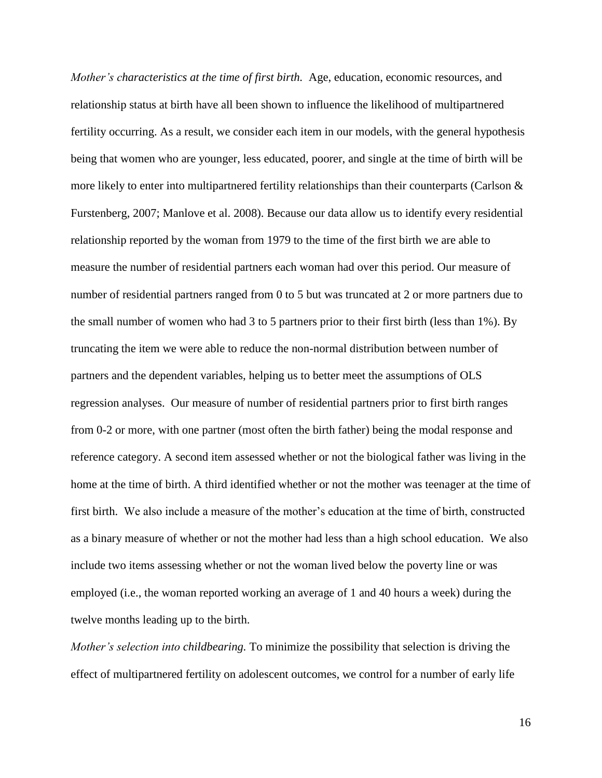*Mother's characteristics at the time of first birth.* Age, education, economic resources, and relationship status at birth have all been shown to influence the likelihood of multipartnered fertility occurring. As a result, we consider each item in our models, with the general hypothesis being that women who are younger, less educated, poorer, and single at the time of birth will be more likely to enter into multipartnered fertility relationships than their counterparts (Carlson  $\&$ Furstenberg, 2007; Manlove et al. 2008). Because our data allow us to identify every residential relationship reported by the woman from 1979 to the time of the first birth we are able to measure the number of residential partners each woman had over this period. Our measure of number of residential partners ranged from 0 to 5 but was truncated at 2 or more partners due to the small number of women who had 3 to 5 partners prior to their first birth (less than 1%). By truncating the item we were able to reduce the non-normal distribution between number of partners and the dependent variables, helping us to better meet the assumptions of OLS regression analyses. Our measure of number of residential partners prior to first birth ranges from 0-2 or more, with one partner (most often the birth father) being the modal response and reference category. A second item assessed whether or not the biological father was living in the home at the time of birth. A third identified whether or not the mother was teenager at the time of first birth. We also include a measure of the mother's education at the time of birth, constructed as a binary measure of whether or not the mother had less than a high school education. We also include two items assessing whether or not the woman lived below the poverty line or was employed (i.e., the woman reported working an average of 1 and 40 hours a week) during the twelve months leading up to the birth.

*Mother's selection into childbearing.* To minimize the possibility that selection is driving the effect of multipartnered fertility on adolescent outcomes, we control for a number of early life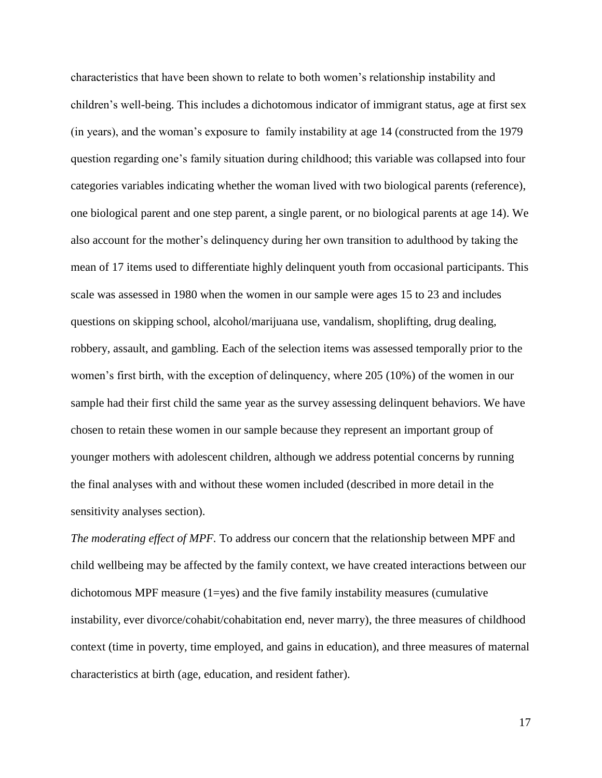characteristics that have been shown to relate to both women's relationship instability and children's well-being. This includes a dichotomous indicator of immigrant status, age at first sex (in years), and the woman's exposure to family instability at age 14 (constructed from the 1979 question regarding one's family situation during childhood; this variable was collapsed into four categories variables indicating whether the woman lived with two biological parents (reference), one biological parent and one step parent, a single parent, or no biological parents at age 14). We also account for the mother's delinquency during her own transition to adulthood by taking the mean of 17 items used to differentiate highly delinquent youth from occasional participants. This scale was assessed in 1980 when the women in our sample were ages 15 to 23 and includes questions on skipping school, alcohol/marijuana use, vandalism, shoplifting, drug dealing, robbery, assault, and gambling. Each of the selection items was assessed temporally prior to the women's first birth, with the exception of delinquency, where 205 (10%) of the women in our sample had their first child the same year as the survey assessing delinquent behaviors. We have chosen to retain these women in our sample because they represent an important group of younger mothers with adolescent children, although we address potential concerns by running the final analyses with and without these women included (described in more detail in the sensitivity analyses section).

*The moderating effect of MPF.* To address our concern that the relationship between MPF and child wellbeing may be affected by the family context, we have created interactions between our dichotomous MPF measure  $(1=yes)$  and the five family instability measures (cumulative instability, ever divorce/cohabit/cohabitation end, never marry), the three measures of childhood context (time in poverty, time employed, and gains in education), and three measures of maternal characteristics at birth (age, education, and resident father).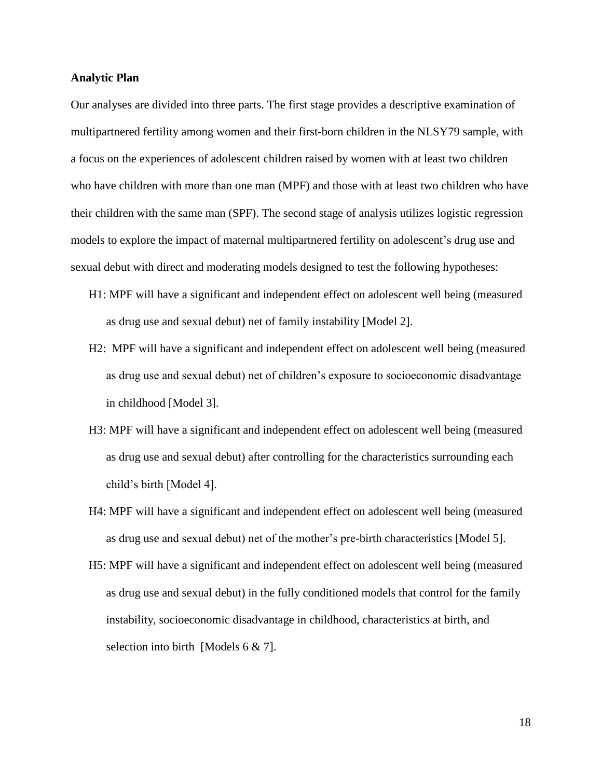#### **Analytic Plan**

Our analyses are divided into three parts. The first stage provides a descriptive examination of multipartnered fertility among women and their first-born children in the NLSY79 sample, with a focus on the experiences of adolescent children raised by women with at least two children who have children with more than one man (MPF) and those with at least two children who have their children with the same man (SPF). The second stage of analysis utilizes logistic regression models to explore the impact of maternal multipartnered fertility on adolescent's drug use and sexual debut with direct and moderating models designed to test the following hypotheses:

- H1: MPF will have a significant and independent effect on adolescent well being (measured as drug use and sexual debut) net of family instability [Model 2].
- H2: MPF will have a significant and independent effect on adolescent well being (measured as drug use and sexual debut) net of children's exposure to socioeconomic disadvantage in childhood [Model 3].
- H3: MPF will have a significant and independent effect on adolescent well being (measured as drug use and sexual debut) after controlling for the characteristics surrounding each child's birth [Model 4].
- H4: MPF will have a significant and independent effect on adolescent well being (measured as drug use and sexual debut) net of the mother's pre-birth characteristics [Model 5].
- H5: MPF will have a significant and independent effect on adolescent well being (measured as drug use and sexual debut) in the fully conditioned models that control for the family instability, socioeconomic disadvantage in childhood, characteristics at birth, and selection into birth [Models 6 & 7].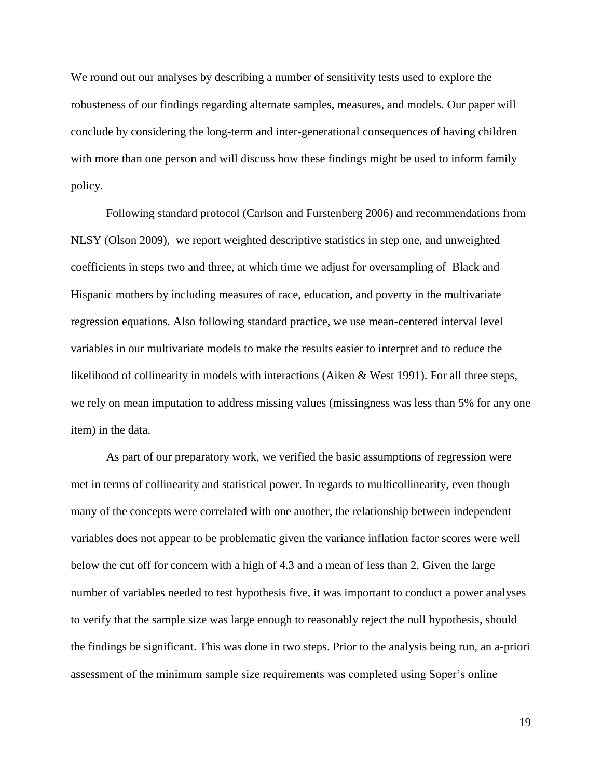We round out our analyses by describing a number of sensitivity tests used to explore the robusteness of our findings regarding alternate samples, measures, and models. Our paper will conclude by considering the long-term and inter-generational consequences of having children with more than one person and will discuss how these findings might be used to inform family policy.

Following standard protocol (Carlson and Furstenberg 2006) and recommendations from NLSY (Olson 2009), we report weighted descriptive statistics in step one, and unweighted coefficients in steps two and three, at which time we adjust for oversampling of Black and Hispanic mothers by including measures of race, education, and poverty in the multivariate regression equations. Also following standard practice, we use mean-centered interval level variables in our multivariate models to make the results easier to interpret and to reduce the likelihood of collinearity in models with interactions (Aiken & West 1991). For all three steps, we rely on mean imputation to address missing values (missingness was less than 5% for any one item) in the data.

As part of our preparatory work, we verified the basic assumptions of regression were met in terms of collinearity and statistical power. In regards to multicollinearity, even though many of the concepts were correlated with one another, the relationship between independent variables does not appear to be problematic given the variance inflation factor scores were well below the cut off for concern with a high of 4.3 and a mean of less than 2. Given the large number of variables needed to test hypothesis five, it was important to conduct a power analyses to verify that the sample size was large enough to reasonably reject the null hypothesis, should the findings be significant. This was done in two steps. Prior to the analysis being run, an a-priori assessment of the minimum sample size requirements was completed using Soper's online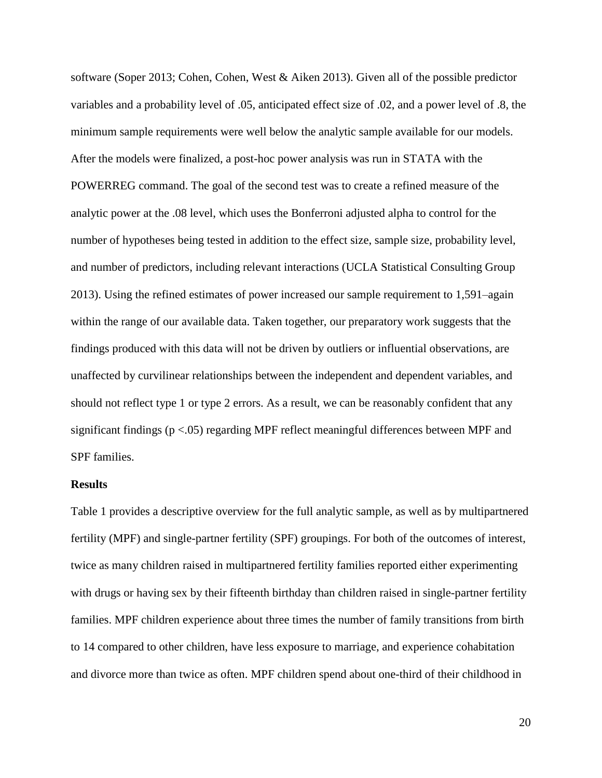software (Soper 2013; Cohen, Cohen, West & Aiken 2013). Given all of the possible predictor variables and a probability level of .05, anticipated effect size of .02, and a power level of .8, the minimum sample requirements were well below the analytic sample available for our models. After the models were finalized, a post-hoc power analysis was run in STATA with the POWERREG command. The goal of the second test was to create a refined measure of the analytic power at the .08 level, which uses the Bonferroni adjusted alpha to control for the number of hypotheses being tested in addition to the effect size, sample size, probability level, and number of predictors, including relevant interactions (UCLA Statistical Consulting Group 2013). Using the refined estimates of power increased our sample requirement to 1,591–again within the range of our available data. Taken together, our preparatory work suggests that the findings produced with this data will not be driven by outliers or influential observations, are unaffected by curvilinear relationships between the independent and dependent variables, and should not reflect type 1 or type 2 errors. As a result, we can be reasonably confident that any significant findings (p <.05) regarding MPF reflect meaningful differences between MPF and SPF families.

#### **Results**

Table 1 provides a descriptive overview for the full analytic sample, as well as by multipartnered fertility (MPF) and single-partner fertility (SPF) groupings. For both of the outcomes of interest, twice as many children raised in multipartnered fertility families reported either experimenting with drugs or having sex by their fifteenth birthday than children raised in single-partner fertility families. MPF children experience about three times the number of family transitions from birth to 14 compared to other children, have less exposure to marriage, and experience cohabitation and divorce more than twice as often. MPF children spend about one-third of their childhood in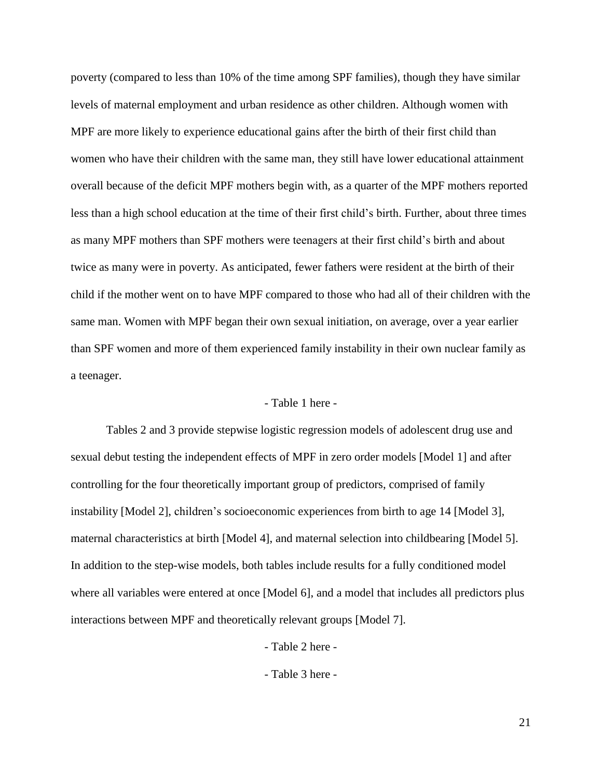poverty (compared to less than 10% of the time among SPF families), though they have similar levels of maternal employment and urban residence as other children. Although women with MPF are more likely to experience educational gains after the birth of their first child than women who have their children with the same man, they still have lower educational attainment overall because of the deficit MPF mothers begin with, as a quarter of the MPF mothers reported less than a high school education at the time of their first child's birth. Further, about three times as many MPF mothers than SPF mothers were teenagers at their first child's birth and about twice as many were in poverty. As anticipated, fewer fathers were resident at the birth of their child if the mother went on to have MPF compared to those who had all of their children with the same man. Women with MPF began their own sexual initiation, on average, over a year earlier than SPF women and more of them experienced family instability in their own nuclear family as a teenager.

#### - Table 1 here -

Tables 2 and 3 provide stepwise logistic regression models of adolescent drug use and sexual debut testing the independent effects of MPF in zero order models [Model 1] and after controlling for the four theoretically important group of predictors, comprised of family instability [Model 2], children's socioeconomic experiences from birth to age 14 [Model 3], maternal characteristics at birth [Model 4], and maternal selection into childbearing [Model 5]. In addition to the step-wise models, both tables include results for a fully conditioned model where all variables were entered at once [Model 6], and a model that includes all predictors plus interactions between MPF and theoretically relevant groups [Model 7].

- Table 2 here -

- Table 3 here -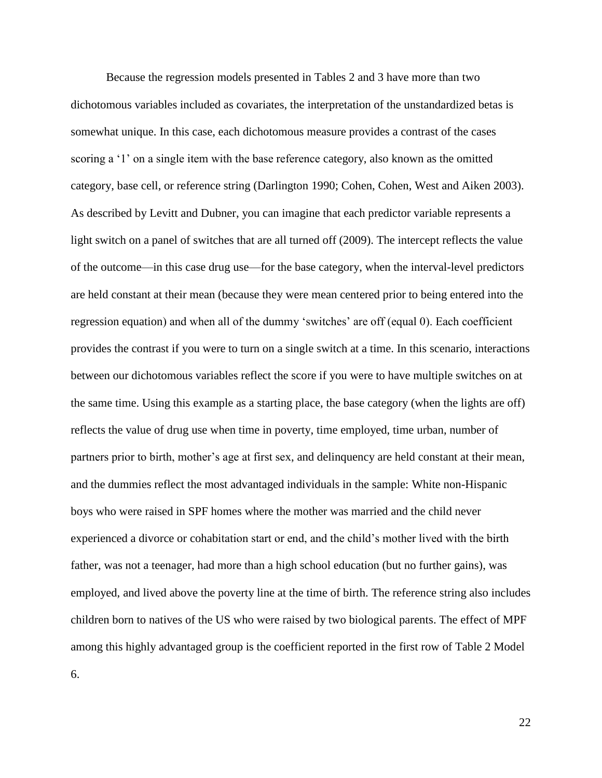Because the regression models presented in Tables 2 and 3 have more than two dichotomous variables included as covariates, the interpretation of the unstandardized betas is somewhat unique. In this case, each dichotomous measure provides a contrast of the cases scoring a '1' on a single item with the base reference category, also known as the omitted category, base cell, or reference string (Darlington 1990; Cohen, Cohen, West and Aiken 2003). As described by Levitt and Dubner, you can imagine that each predictor variable represents a light switch on a panel of switches that are all turned off (2009). The intercept reflects the value of the outcome—in this case drug use—for the base category, when the interval-level predictors are held constant at their mean (because they were mean centered prior to being entered into the regression equation) and when all of the dummy 'switches' are off (equal 0). Each coefficient provides the contrast if you were to turn on a single switch at a time. In this scenario, interactions between our dichotomous variables reflect the score if you were to have multiple switches on at the same time. Using this example as a starting place, the base category (when the lights are off) reflects the value of drug use when time in poverty, time employed, time urban, number of partners prior to birth, mother's age at first sex, and delinquency are held constant at their mean, and the dummies reflect the most advantaged individuals in the sample: White non-Hispanic boys who were raised in SPF homes where the mother was married and the child never experienced a divorce or cohabitation start or end, and the child's mother lived with the birth father, was not a teenager, had more than a high school education (but no further gains), was employed, and lived above the poverty line at the time of birth. The reference string also includes children born to natives of the US who were raised by two biological parents. The effect of MPF among this highly advantaged group is the coefficient reported in the first row of Table 2 Model

6.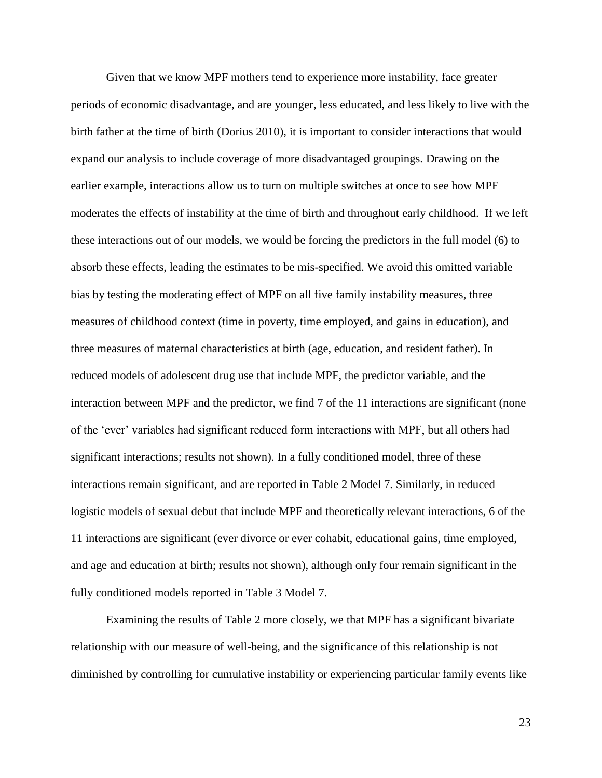Given that we know MPF mothers tend to experience more instability, face greater periods of economic disadvantage, and are younger, less educated, and less likely to live with the birth father at the time of birth (Dorius 2010), it is important to consider interactions that would expand our analysis to include coverage of more disadvantaged groupings. Drawing on the earlier example, interactions allow us to turn on multiple switches at once to see how MPF moderates the effects of instability at the time of birth and throughout early childhood. If we left these interactions out of our models, we would be forcing the predictors in the full model (6) to absorb these effects, leading the estimates to be mis-specified. We avoid this omitted variable bias by testing the moderating effect of MPF on all five family instability measures, three measures of childhood context (time in poverty, time employed, and gains in education), and three measures of maternal characteristics at birth (age, education, and resident father). In reduced models of adolescent drug use that include MPF, the predictor variable, and the interaction between MPF and the predictor, we find 7 of the 11 interactions are significant (none of the 'ever' variables had significant reduced form interactions with MPF, but all others had significant interactions; results not shown). In a fully conditioned model, three of these interactions remain significant, and are reported in Table 2 Model 7. Similarly, in reduced logistic models of sexual debut that include MPF and theoretically relevant interactions, 6 of the 11 interactions are significant (ever divorce or ever cohabit, educational gains, time employed, and age and education at birth; results not shown), although only four remain significant in the fully conditioned models reported in Table 3 Model 7.

Examining the results of Table 2 more closely, we that MPF has a significant bivariate relationship with our measure of well-being, and the significance of this relationship is not diminished by controlling for cumulative instability or experiencing particular family events like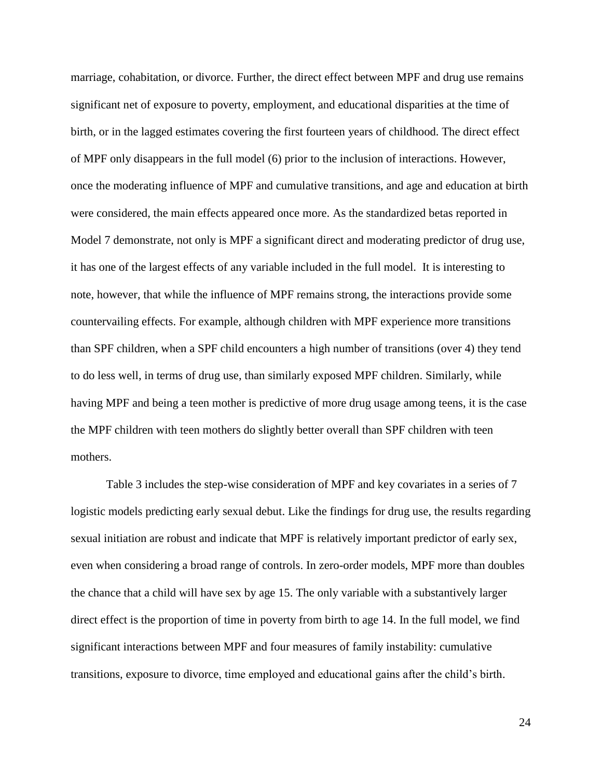marriage, cohabitation, or divorce. Further, the direct effect between MPF and drug use remains significant net of exposure to poverty, employment, and educational disparities at the time of birth, or in the lagged estimates covering the first fourteen years of childhood. The direct effect of MPF only disappears in the full model (6) prior to the inclusion of interactions. However, once the moderating influence of MPF and cumulative transitions, and age and education at birth were considered, the main effects appeared once more. As the standardized betas reported in Model 7 demonstrate, not only is MPF a significant direct and moderating predictor of drug use, it has one of the largest effects of any variable included in the full model. It is interesting to note, however, that while the influence of MPF remains strong, the interactions provide some countervailing effects. For example, although children with MPF experience more transitions than SPF children, when a SPF child encounters a high number of transitions (over 4) they tend to do less well, in terms of drug use, than similarly exposed MPF children. Similarly, while having MPF and being a teen mother is predictive of more drug usage among teens, it is the case the MPF children with teen mothers do slightly better overall than SPF children with teen mothers.

Table 3 includes the step-wise consideration of MPF and key covariates in a series of 7 logistic models predicting early sexual debut. Like the findings for drug use, the results regarding sexual initiation are robust and indicate that MPF is relatively important predictor of early sex, even when considering a broad range of controls. In zero-order models, MPF more than doubles the chance that a child will have sex by age 15. The only variable with a substantively larger direct effect is the proportion of time in poverty from birth to age 14. In the full model, we find significant interactions between MPF and four measures of family instability: cumulative transitions, exposure to divorce, time employed and educational gains after the child's birth.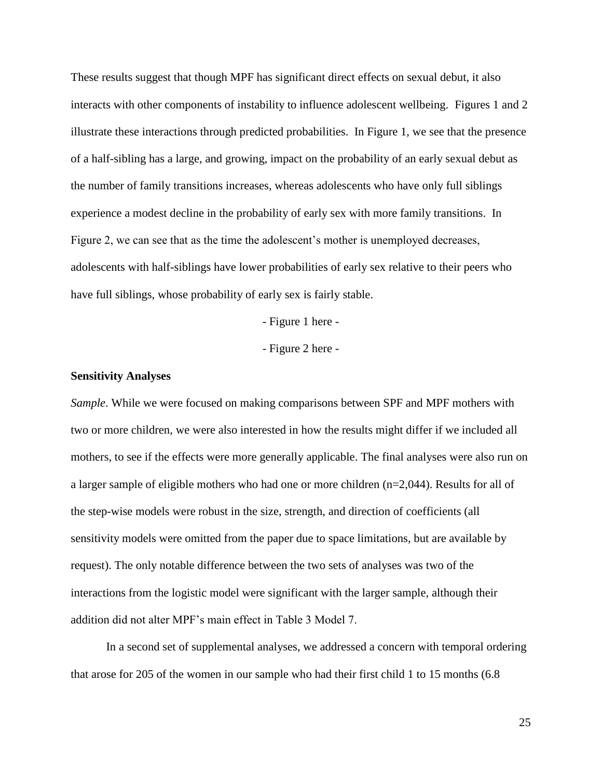These results suggest that though MPF has significant direct effects on sexual debut, it also interacts with other components of instability to influence adolescent wellbeing. Figures 1 and 2 illustrate these interactions through predicted probabilities. In Figure 1, we see that the presence of a half-sibling has a large, and growing, impact on the probability of an early sexual debut as the number of family transitions increases, whereas adolescents who have only full siblings experience a modest decline in the probability of early sex with more family transitions. In Figure 2, we can see that as the time the adolescent's mother is unemployed decreases, adolescents with half-siblings have lower probabilities of early sex relative to their peers who have full siblings, whose probability of early sex is fairly stable.

- Figure 1 here -

- Figure 2 here -

#### **Sensitivity Analyses**

*Sample*. While we were focused on making comparisons between SPF and MPF mothers with two or more children, we were also interested in how the results might differ if we included all mothers, to see if the effects were more generally applicable. The final analyses were also run on a larger sample of eligible mothers who had one or more children (n=2,044). Results for all of the step-wise models were robust in the size, strength, and direction of coefficients (all sensitivity models were omitted from the paper due to space limitations, but are available by request). The only notable difference between the two sets of analyses was two of the interactions from the logistic model were significant with the larger sample, although their addition did not alter MPF's main effect in Table 3 Model 7.

In a second set of supplemental analyses, we addressed a concern with temporal ordering that arose for 205 of the women in our sample who had their first child 1 to 15 months (6.8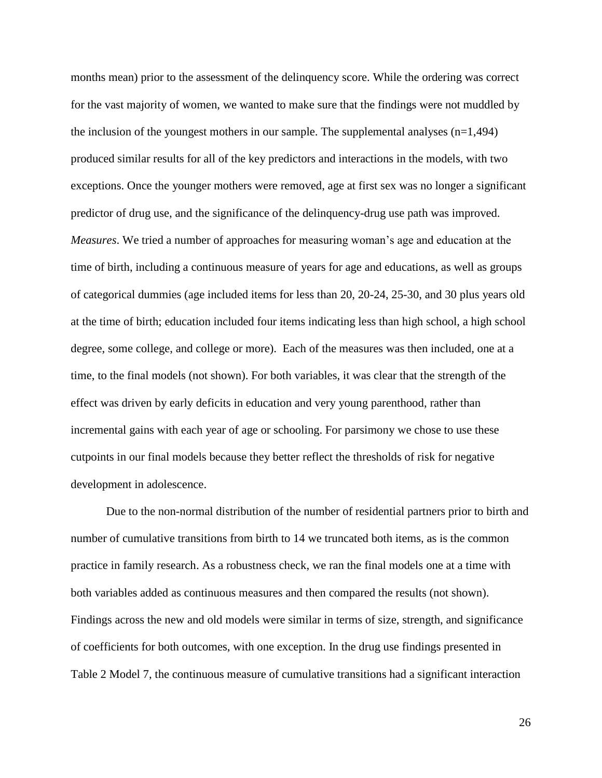months mean) prior to the assessment of the delinquency score. While the ordering was correct for the vast majority of women, we wanted to make sure that the findings were not muddled by the inclusion of the youngest mothers in our sample. The supplemental analyses  $(n=1,494)$ produced similar results for all of the key predictors and interactions in the models, with two exceptions. Once the younger mothers were removed, age at first sex was no longer a significant predictor of drug use, and the significance of the delinquency-drug use path was improved. *Measures*. We tried a number of approaches for measuring woman's age and education at the time of birth, including a continuous measure of years for age and educations, as well as groups of categorical dummies (age included items for less than 20, 20-24, 25-30, and 30 plus years old at the time of birth; education included four items indicating less than high school, a high school degree, some college, and college or more). Each of the measures was then included, one at a time, to the final models (not shown). For both variables, it was clear that the strength of the effect was driven by early deficits in education and very young parenthood, rather than incremental gains with each year of age or schooling. For parsimony we chose to use these cutpoints in our final models because they better reflect the thresholds of risk for negative development in adolescence.

Due to the non-normal distribution of the number of residential partners prior to birth and number of cumulative transitions from birth to 14 we truncated both items, as is the common practice in family research. As a robustness check, we ran the final models one at a time with both variables added as continuous measures and then compared the results (not shown). Findings across the new and old models were similar in terms of size, strength, and significance of coefficients for both outcomes, with one exception. In the drug use findings presented in Table 2 Model 7, the continuous measure of cumulative transitions had a significant interaction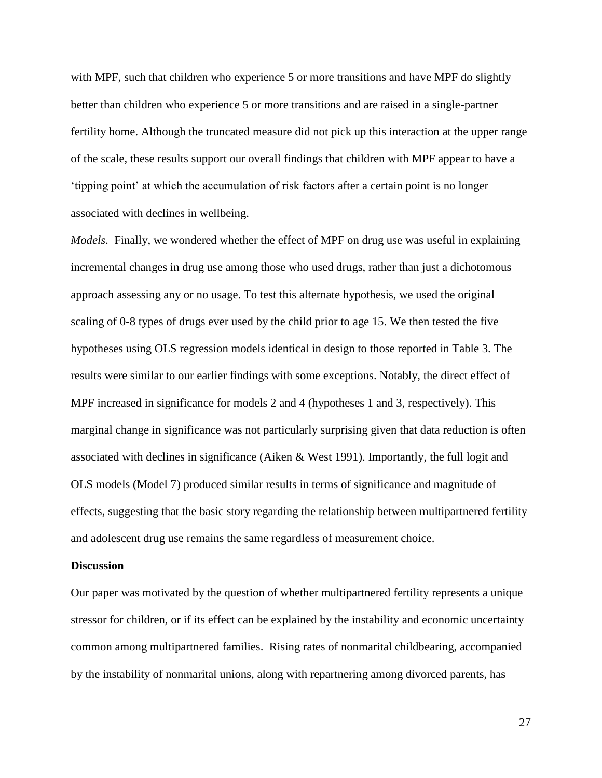with MPF, such that children who experience 5 or more transitions and have MPF do slightly better than children who experience 5 or more transitions and are raised in a single-partner fertility home. Although the truncated measure did not pick up this interaction at the upper range of the scale, these results support our overall findings that children with MPF appear to have a 'tipping point' at which the accumulation of risk factors after a certain point is no longer associated with declines in wellbeing.

*Models*. Finally, we wondered whether the effect of MPF on drug use was useful in explaining incremental changes in drug use among those who used drugs, rather than just a dichotomous approach assessing any or no usage. To test this alternate hypothesis, we used the original scaling of 0-8 types of drugs ever used by the child prior to age 15. We then tested the five hypotheses using OLS regression models identical in design to those reported in Table 3. The results were similar to our earlier findings with some exceptions. Notably, the direct effect of MPF increased in significance for models 2 and 4 (hypotheses 1 and 3, respectively). This marginal change in significance was not particularly surprising given that data reduction is often associated with declines in significance (Aiken & West 1991). Importantly, the full logit and OLS models (Model 7) produced similar results in terms of significance and magnitude of effects, suggesting that the basic story regarding the relationship between multipartnered fertility and adolescent drug use remains the same regardless of measurement choice.

#### **Discussion**

Our paper was motivated by the question of whether multipartnered fertility represents a unique stressor for children, or if its effect can be explained by the instability and economic uncertainty common among multipartnered families. Rising rates of nonmarital childbearing, accompanied by the instability of nonmarital unions, along with repartnering among divorced parents, has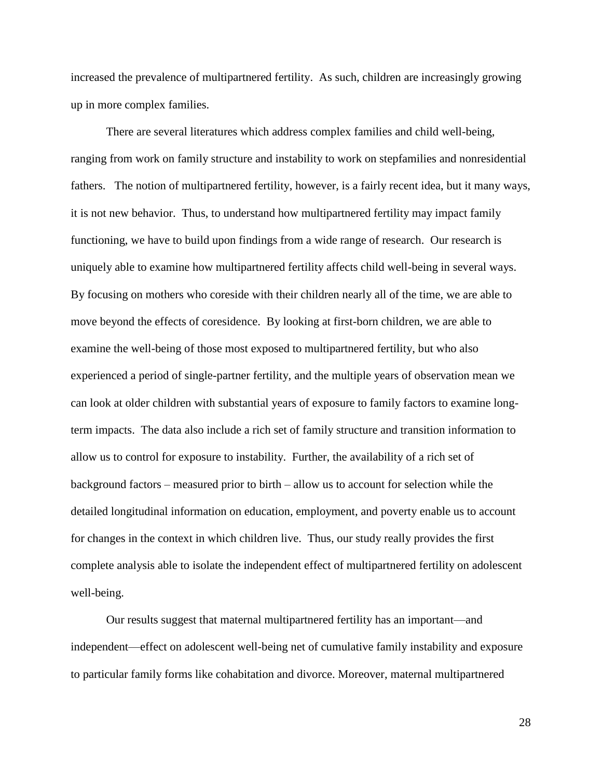increased the prevalence of multipartnered fertility. As such, children are increasingly growing up in more complex families.

There are several literatures which address complex families and child well-being, ranging from work on family structure and instability to work on stepfamilies and nonresidential fathers. The notion of multipartnered fertility, however, is a fairly recent idea, but it many ways, it is not new behavior. Thus, to understand how multipartnered fertility may impact family functioning, we have to build upon findings from a wide range of research. Our research is uniquely able to examine how multipartnered fertility affects child well-being in several ways. By focusing on mothers who coreside with their children nearly all of the time, we are able to move beyond the effects of coresidence. By looking at first-born children, we are able to examine the well-being of those most exposed to multipartnered fertility, but who also experienced a period of single-partner fertility, and the multiple years of observation mean we can look at older children with substantial years of exposure to family factors to examine longterm impacts. The data also include a rich set of family structure and transition information to allow us to control for exposure to instability. Further, the availability of a rich set of background factors – measured prior to birth – allow us to account for selection while the detailed longitudinal information on education, employment, and poverty enable us to account for changes in the context in which children live. Thus, our study really provides the first complete analysis able to isolate the independent effect of multipartnered fertility on adolescent well-being.

Our results suggest that maternal multipartnered fertility has an important—and independent—effect on adolescent well-being net of cumulative family instability and exposure to particular family forms like cohabitation and divorce. Moreover, maternal multipartnered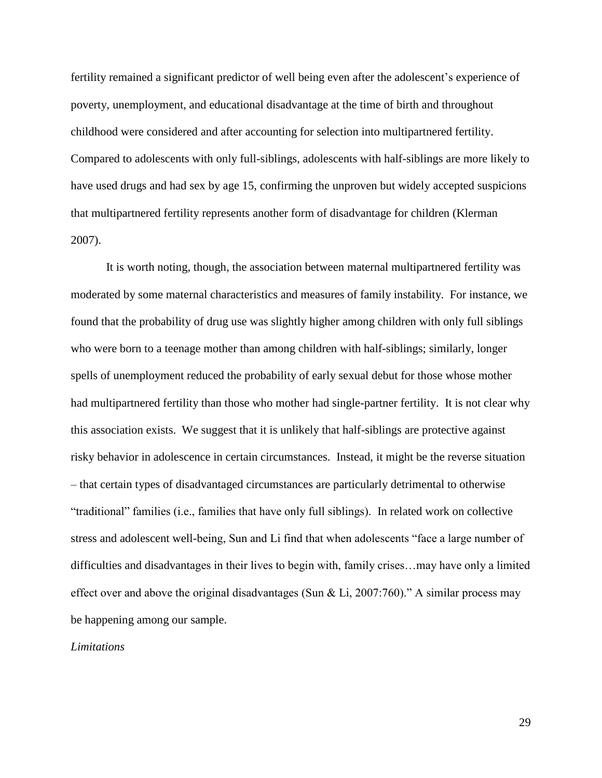fertility remained a significant predictor of well being even after the adolescent's experience of poverty, unemployment, and educational disadvantage at the time of birth and throughout childhood were considered and after accounting for selection into multipartnered fertility. Compared to adolescents with only full-siblings, adolescents with half-siblings are more likely to have used drugs and had sex by age 15, confirming the unproven but widely accepted suspicions that multipartnered fertility represents another form of disadvantage for children (Klerman 2007).

It is worth noting, though, the association between maternal multipartnered fertility was moderated by some maternal characteristics and measures of family instability. For instance, we found that the probability of drug use was slightly higher among children with only full siblings who were born to a teenage mother than among children with half-siblings; similarly, longer spells of unemployment reduced the probability of early sexual debut for those whose mother had multipartnered fertility than those who mother had single-partner fertility. It is not clear why this association exists. We suggest that it is unlikely that half-siblings are protective against risky behavior in adolescence in certain circumstances. Instead, it might be the reverse situation – that certain types of disadvantaged circumstances are particularly detrimental to otherwise "traditional" families (i.e., families that have only full siblings). In related work on collective stress and adolescent well-being, Sun and Li find that when adolescents "face a large number of difficulties and disadvantages in their lives to begin with, family crises…may have only a limited effect over and above the original disadvantages (Sun & Li, 2007:760)." A similar process may be happening among our sample.

#### *Limitations*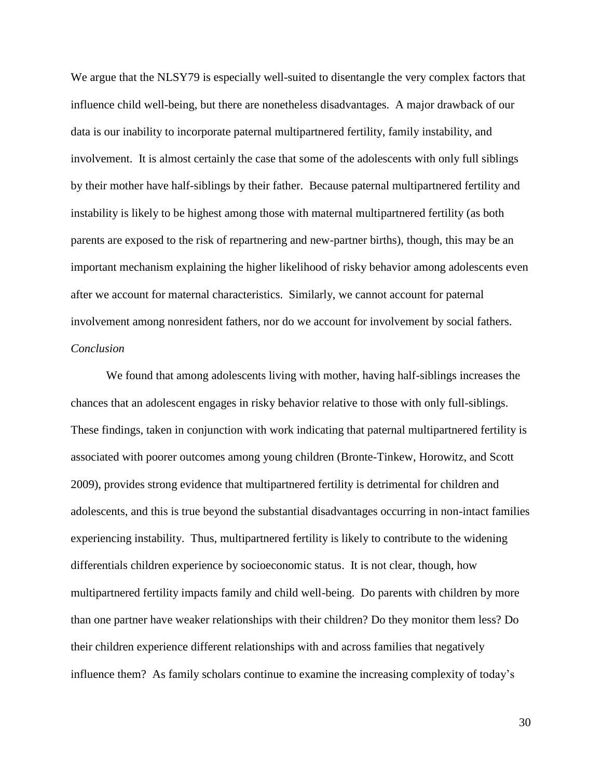We argue that the NLSY79 is especially well-suited to disentangle the very complex factors that influence child well-being, but there are nonetheless disadvantages. A major drawback of our data is our inability to incorporate paternal multipartnered fertility, family instability, and involvement. It is almost certainly the case that some of the adolescents with only full siblings by their mother have half-siblings by their father. Because paternal multipartnered fertility and instability is likely to be highest among those with maternal multipartnered fertility (as both parents are exposed to the risk of repartnering and new-partner births), though, this may be an important mechanism explaining the higher likelihood of risky behavior among adolescents even after we account for maternal characteristics. Similarly, we cannot account for paternal involvement among nonresident fathers, nor do we account for involvement by social fathers. *Conclusion*

We found that among adolescents living with mother, having half-siblings increases the chances that an adolescent engages in risky behavior relative to those with only full-siblings. These findings, taken in conjunction with work indicating that paternal multipartnered fertility is associated with poorer outcomes among young children (Bronte-Tinkew, Horowitz, and Scott 2009), provides strong evidence that multipartnered fertility is detrimental for children and adolescents, and this is true beyond the substantial disadvantages occurring in non-intact families experiencing instability. Thus, multipartnered fertility is likely to contribute to the widening differentials children experience by socioeconomic status. It is not clear, though, how multipartnered fertility impacts family and child well-being. Do parents with children by more than one partner have weaker relationships with their children? Do they monitor them less? Do their children experience different relationships with and across families that negatively influence them? As family scholars continue to examine the increasing complexity of today's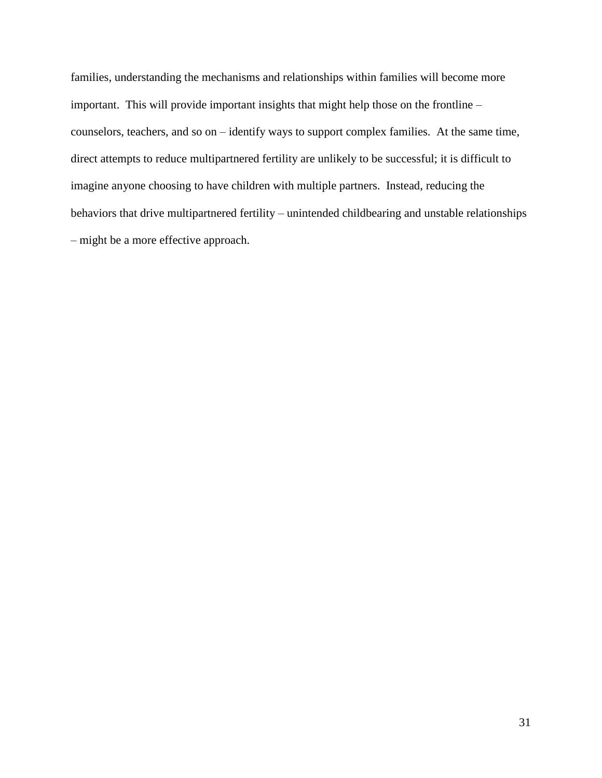families, understanding the mechanisms and relationships within families will become more important. This will provide important insights that might help those on the frontline – counselors, teachers, and so on – identify ways to support complex families. At the same time, direct attempts to reduce multipartnered fertility are unlikely to be successful; it is difficult to imagine anyone choosing to have children with multiple partners. Instead, reducing the behaviors that drive multipartnered fertility – unintended childbearing and unstable relationships – might be a more effective approach.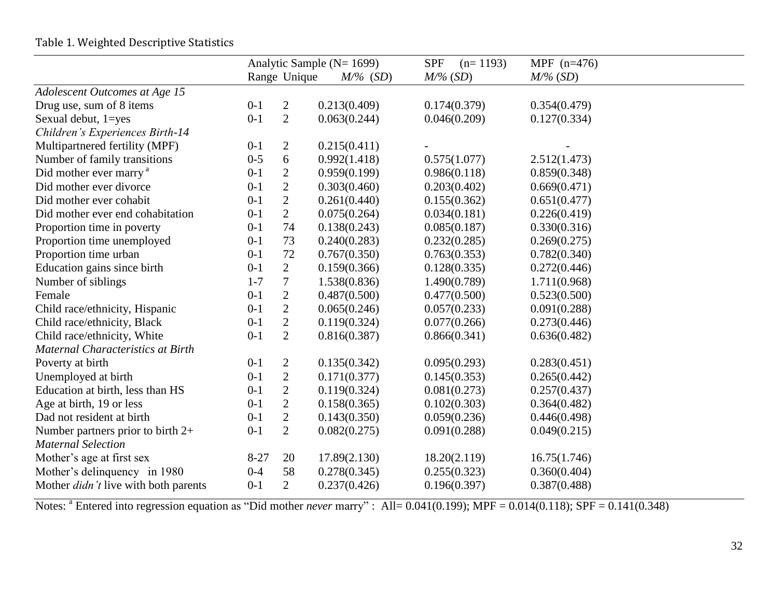|                                                                             | Analytic Sample (N= 1699) |                |              | <b>SPF</b><br>$(n=1193)$ | MPF $(n=476)$ |  |
|-----------------------------------------------------------------------------|---------------------------|----------------|--------------|--------------------------|---------------|--|
|                                                                             |                           | Range Unique   | $M\%$ (SD)   | $M\%$ (SD)               | $M\%$ (SD)    |  |
| Adolescent Outcomes at Age 15                                               |                           |                |              |                          |               |  |
| Drug use, sum of 8 items                                                    | $0-1$                     | $\overline{2}$ | 0.213(0.409) | 0.174(0.379)             | 0.354(0.479)  |  |
| Sexual debut, 1=yes                                                         | $0 - 1$                   | $\mathbf{2}$   | 0.063(0.244) | 0.046(0.209)             | 0.127(0.334)  |  |
| Children's Experiences Birth-14                                             |                           |                |              |                          |               |  |
| Multipartnered fertility (MPF)                                              | $0 - 1$                   | 2              | 0.215(0.411) |                          |               |  |
| Number of family transitions                                                | $0 - 5$                   | 6              | 0.992(1.418) | 0.575(1.077)             | 2.512(1.473)  |  |
| Did mother ever marry <sup>a</sup>                                          | $0-1$                     | $\overline{c}$ | 0.959(0.199) | 0.986(0.118)             | 0.859(0.348)  |  |
| Did mother ever divorce                                                     | $0 - 1$                   | $\overline{2}$ | 0.303(0.460) | 0.203(0.402)             | 0.669(0.471)  |  |
| Did mother ever cohabit                                                     | $0 - 1$                   | $\overline{c}$ | 0.261(0.440) | 0.155(0.362)             | 0.651(0.477)  |  |
| Did mother ever end cohabitation                                            | $0-1$                     | $\overline{2}$ | 0.075(0.264) | 0.034(0.181)             | 0.226(0.419)  |  |
| Proportion time in poverty                                                  | $0-1$                     | 74             | 0.138(0.243) | 0.085(0.187)             | 0.330(0.316)  |  |
| Proportion time unemployed                                                  | $0 - 1$                   | 73             | 0.240(0.283) | 0.232(0.285)             | 0.269(0.275)  |  |
| Proportion time urban                                                       | $0-1$                     | 72             | 0.767(0.350) | 0.763(0.353)             | 0.782(0.340)  |  |
| Education gains since birth                                                 | $0 - 1$                   | $\overline{2}$ | 0.159(0.366) | 0.128(0.335)             | 0.272(0.446)  |  |
| Number of siblings                                                          | $1 - 7$                   | $\tau$         | 1.538(0.836) | 1.490(0.789)             | 1.711(0.968)  |  |
| Female                                                                      | $0-1$                     | $\overline{c}$ | 0.487(0.500) | 0.477(0.500)             | 0.523(0.500)  |  |
| Child race/ethnicity, Hispanic                                              | $0 - 1$                   | $\overline{2}$ | 0.065(0.246) | 0.057(0.233)             | 0.091(0.288)  |  |
| Child race/ethnicity, Black                                                 | $0 - 1$                   | $\sqrt{2}$     | 0.119(0.324) | 0.077(0.266)             | 0.273(0.446)  |  |
| Child race/ethnicity, White                                                 | $0 - 1$                   | $\overline{2}$ | 0.816(0.387) | 0.866(0.341)             | 0.636(0.482)  |  |
| Maternal Characteristics at Birth                                           |                           |                |              |                          |               |  |
| Poverty at birth                                                            | $0-1$                     | $\overline{c}$ | 0.135(0.342) | 0.095(0.293)             | 0.283(0.451)  |  |
| Unemployed at birth                                                         | $0 - 1$                   | $\overline{c}$ | 0.171(0.377) | 0.145(0.353)             | 0.265(0.442)  |  |
| Education at birth, less than HS                                            | $0-1$                     | $\overline{c}$ | 0.119(0.324) | 0.081(0.273)             | 0.257(0.437)  |  |
| Age at birth, 19 or less                                                    | $0-1$                     | $\mathbf{2}$   | 0.158(0.365) | 0.102(0.303)             | 0.364(0.482)  |  |
| Dad not resident at birth                                                   | $0 - 1$                   | $\sqrt{2}$     | 0.143(0.350) | 0.059(0.236)             | 0.446(0.498)  |  |
| Number partners prior to birth $2+$                                         | $0-1$                     | $\mathbf{2}$   | 0.082(0.275) | 0.091(0.288)             | 0.049(0.215)  |  |
| <b>Maternal Selection</b>                                                   |                           |                |              |                          |               |  |
| Mother's age at first sex                                                   | $8 - 27$                  | 20             | 17.89(2.130) | 18.20(2.119)             | 16.75(1.746)  |  |
|                                                                             | $0 - 4$                   | 58             | 0.278(0.345) | 0.255(0.323)             | 0.360(0.404)  |  |
|                                                                             | $0-1$                     | $\overline{2}$ | 0.237(0.426) | 0.196(0.397)             | 0.387(0.488)  |  |
| Mother's delinquency in 1980<br>Mother <i>didn't</i> live with both parents |                           |                |              |                          |               |  |

## Table 1. Weighted Descriptive Statistics

Notes: <sup>a</sup> Entered into regression equation as "Did mother *never* marry" : All= 0.041(0.199); MPF = 0.014(0.118); SPF = 0.141(0.348)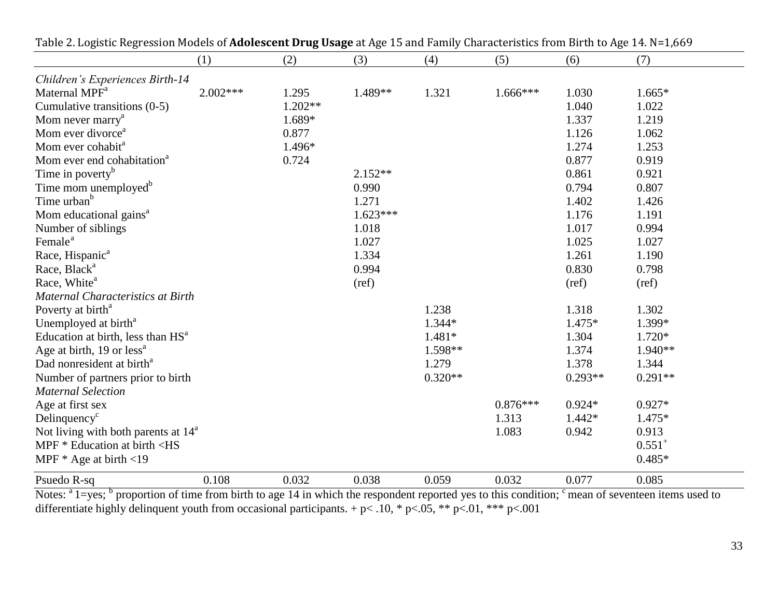|                                                                                                                                 | (1)        | (2)       | (3)        | (4)       | (5)        | (6)       | (7)         |
|---------------------------------------------------------------------------------------------------------------------------------|------------|-----------|------------|-----------|------------|-----------|-------------|
| Children's Experiences Birth-14                                                                                                 |            |           |            |           |            |           |             |
| Maternal MPF <sup>a</sup>                                                                                                       | $2.002***$ | 1.295     | 1.489**    | 1.321     | $1.666***$ | 1.030     | $1.665*$    |
| Cumulative transitions $(0-5)$                                                                                                  |            | $1.202**$ |            |           |            | 1.040     | 1.022       |
| Mom never marry <sup>a</sup>                                                                                                    |            | 1.689*    |            |           |            | 1.337     | 1.219       |
| Mom ever divorce <sup>a</sup>                                                                                                   |            | 0.877     |            |           |            | 1.126     | 1.062       |
| Mom ever cohabit <sup>a</sup>                                                                                                   |            | 1.496*    |            |           |            | 1.274     | 1.253       |
| Mom ever end cohabitation <sup>a</sup>                                                                                          |            | 0.724     |            |           |            | 0.877     | 0.919       |
| Time in poverty <sup>b</sup>                                                                                                    |            |           | $2.152**$  |           |            | 0.861     | 0.921       |
| Time mom unemployed <sup>b</sup>                                                                                                |            |           | 0.990      |           |            | 0.794     | 0.807       |
| Time urban <sup>b</sup>                                                                                                         |            |           | 1.271      |           |            | 1.402     | 1.426       |
| Mom educational gains <sup>a</sup>                                                                                              |            |           | $1.623***$ |           |            | 1.176     | 1.191       |
| Number of siblings                                                                                                              |            |           | 1.018      |           |            | 1.017     | 0.994       |
| Female <sup>a</sup>                                                                                                             |            |           | 1.027      |           |            | 1.025     | 1.027       |
| Race, Hispanic <sup>a</sup>                                                                                                     |            |           | 1.334      |           |            | 1.261     | 1.190       |
| Race, Black <sup>a</sup>                                                                                                        |            |           | 0.994      |           |            | 0.830     | 0.798       |
| Race, White <sup>a</sup>                                                                                                        |            |           | (ref)      |           |            | (ref)     | (ref)       |
| <b>Maternal Characteristics at Birth</b>                                                                                        |            |           |            |           |            |           |             |
| Poverty at birth <sup>a</sup>                                                                                                   |            |           |            | 1.238     |            | 1.318     | 1.302       |
| Unemployed at birth <sup>a</sup>                                                                                                |            |           |            | 1.344*    |            | 1.475*    | 1.399*      |
| Education at birth, less than HS <sup>a</sup>                                                                                   |            |           |            | $1.481*$  |            | 1.304     | 1.720*      |
| Age at birth, $19$ or less <sup>a</sup>                                                                                         |            |           |            | 1.598**   |            | 1.374     | 1.940**     |
| Dad nonresident at birth <sup>a</sup>                                                                                           |            |           |            | 1.279     |            | 1.378     | 1.344       |
| Number of partners prior to birth                                                                                               |            |           |            | $0.320**$ |            | $0.293**$ | $0.291**$   |
| <b>Maternal Selection</b>                                                                                                       |            |           |            |           |            |           |             |
| Age at first sex                                                                                                                |            |           |            |           | $0.876***$ | $0.924*$  | $0.927*$    |
| Delinquency <sup>c</sup>                                                                                                        |            |           |            |           | 1.313      | $1.442*$  | 1.475*      |
| Not living with both parents at $14^a$                                                                                          |            |           |            |           | 1.083      | 0.942     | 0.913       |
| MPF * Education at birth <hs< td=""><td></td><td></td><td></td><td></td><td></td><td></td><td><math>0.551^{+}</math></td></hs<> |            |           |            |           |            |           | $0.551^{+}$ |
| MPF $*$ Age at birth <19                                                                                                        |            |           |            |           |            |           | $0.485*$    |
| Psuedo R-sq                                                                                                                     | 0.108      | 0.032     | 0.038      | 0.059     | 0.032      | 0.077     | 0.085       |

Table 2. Logistic Regression Models of **Adolescent Drug Usage** at Age 15 and Family Characteristics from Birth to Age 14. N=1,669

Notes: <sup>a</sup> 1=yes; <sup>b</sup> proportion of time from birth to age 14 in which the respondent reported yes to this condition; <sup>c</sup> mean of seventeen items used to differentiate highly delinquent youth from occasional participants.  $+p<.10$ , \*  $p<.05$ , \*\*  $p<.01$ , \*\*\*  $p<.001$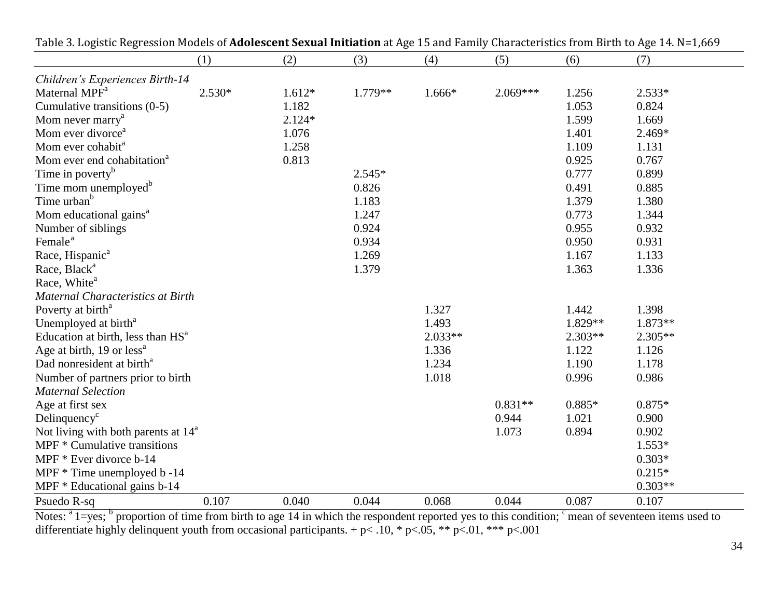| Table 5. Logistic Regression Models of <b>Adolescent Sexual Initiation</b> at Age 15 and Paniny Gharacteristics nonlibiliti to Age 14. N–1,009 |          |          |           |           |            |           |           |
|------------------------------------------------------------------------------------------------------------------------------------------------|----------|----------|-----------|-----------|------------|-----------|-----------|
|                                                                                                                                                | (1)      | (2)      | (3)       | (4)       | (5)        | (6)       | (7)       |
| Children's Experiences Birth-14                                                                                                                |          |          |           |           |            |           |           |
| Maternal MPF <sup>a</sup>                                                                                                                      | $2.530*$ | $1.612*$ | $1.779**$ | 1.666*    | $2.069***$ | 1.256     | $2.533*$  |
| Cumulative transitions (0-5)                                                                                                                   |          | 1.182    |           |           |            | 1.053     | 0.824     |
| Mom never marry <sup>a</sup>                                                                                                                   |          | $2.124*$ |           |           |            | 1.599     | 1.669     |
| Mom ever divorce <sup>a</sup>                                                                                                                  |          | 1.076    |           |           |            | 1.401     | 2.469*    |
| Mom ever cohabit <sup>a</sup>                                                                                                                  |          | 1.258    |           |           |            | 1.109     | 1.131     |
| Mom ever end cohabitation <sup>a</sup>                                                                                                         |          | 0.813    |           |           |            | 0.925     | 0.767     |
| Time in poverty <sup>b</sup>                                                                                                                   |          |          | $2.545*$  |           |            | 0.777     | 0.899     |
| Time mom unemployed <sup>b</sup>                                                                                                               |          |          | 0.826     |           |            | 0.491     | 0.885     |
| Time urban <sup>b</sup>                                                                                                                        |          |          | 1.183     |           |            | 1.379     | 1.380     |
| Mom educational gains <sup>a</sup>                                                                                                             |          |          | 1.247     |           |            | 0.773     | 1.344     |
| Number of siblings                                                                                                                             |          |          | 0.924     |           |            | 0.955     | 0.932     |
| Female <sup>a</sup>                                                                                                                            |          |          | 0.934     |           |            | 0.950     | 0.931     |
| Race, Hispanic <sup>a</sup>                                                                                                                    |          |          | 1.269     |           |            | 1.167     | 1.133     |
| Race, Black <sup>a</sup>                                                                                                                       |          |          | 1.379     |           |            | 1.363     | 1.336     |
| Race, White <sup>a</sup>                                                                                                                       |          |          |           |           |            |           |           |
| Maternal Characteristics at Birth                                                                                                              |          |          |           |           |            |           |           |
| Poverty at birth <sup>a</sup>                                                                                                                  |          |          |           | 1.327     |            | 1.442     | 1.398     |
| Unemployed at birth <sup>a</sup>                                                                                                               |          |          |           | 1.493     |            | 1.829**   | $1.873**$ |
| Education at birth, less than HS <sup>a</sup>                                                                                                  |          |          |           | $2.033**$ |            | $2.303**$ | $2.305**$ |
| Age at birth, 19 or $less^a$                                                                                                                   |          |          |           | 1.336     |            | 1.122     | 1.126     |
| Dad nonresident at birth <sup>a</sup>                                                                                                          |          |          |           | 1.234     |            | 1.190     | 1.178     |
| Number of partners prior to birth                                                                                                              |          |          |           | 1.018     |            | 0.996     | 0.986     |
| <b>Maternal Selection</b>                                                                                                                      |          |          |           |           |            |           |           |
| Age at first sex                                                                                                                               |          |          |           |           | $0.831**$  | $0.885*$  | $0.875*$  |
| Delinquency <sup>c</sup>                                                                                                                       |          |          |           |           | 0.944      | 1.021     | 0.900     |
| Not living with both parents at $14^a$                                                                                                         |          |          |           |           | 1.073      | 0.894     | 0.902     |
| MPF * Cumulative transitions                                                                                                                   |          |          |           |           |            |           | $1.553*$  |
| MPF $*$ Ever divorce $b-14$                                                                                                                    |          |          |           |           |            |           | $0.303*$  |
| MPF $*$ Time unemployed $b - 14$                                                                                                               |          |          |           |           |            |           | $0.215*$  |
| MPF $*$ Educational gains $b-14$                                                                                                               |          |          |           |           |            |           | $0.303**$ |
| Psuedo R-sq                                                                                                                                    | 0.107    | 0.040    | 0.044     | 0.068     | 0.044      | 0.087     | 0.107     |

Table 3. Logistic Regression Models of **Adolescent Sexual Initiation** at Age 15 and Family Characteristics from Birth to Age 14. N=1,669

Notes: <sup>a</sup> 1=yes; <sup>b</sup> proportion of time from birth to age 14 in which the respondent reported yes to this condition; <sup>c</sup> mean of seventeen items used to differentiate highly delinquent youth from occasional participants.  $+ p< 0.10$ ,  $* p< 0.05$ ,  $** p< 0.01$ ,  $** p< 0.001$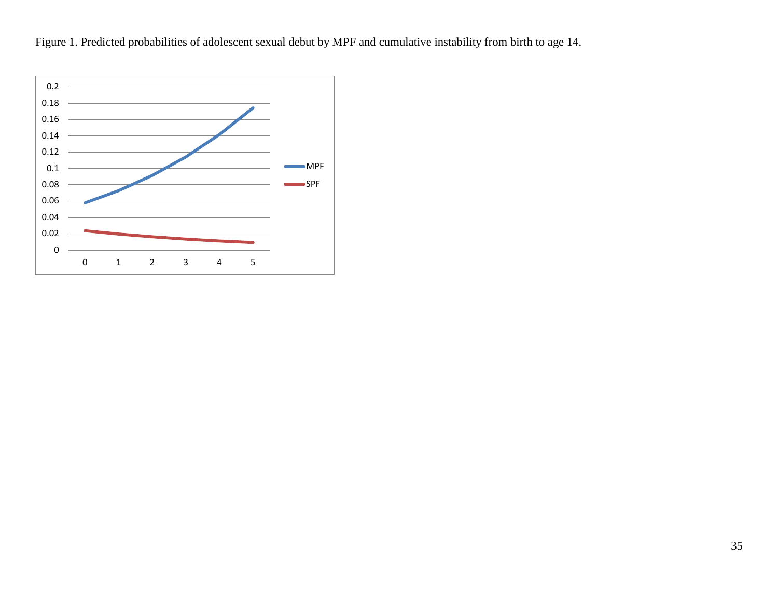Figure 1. Predicted probabilities of adolescent sexual debut by MPF and cumulative instability from birth to age 14.

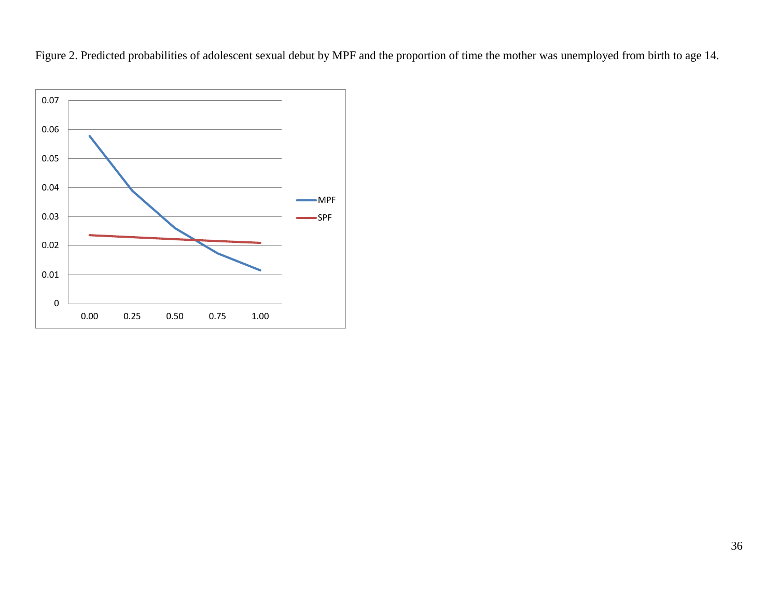Figure 2. Predicted probabilities of adolescent sexual debut by MPF and the proportion of time the mother was unemployed from birth to age 14.

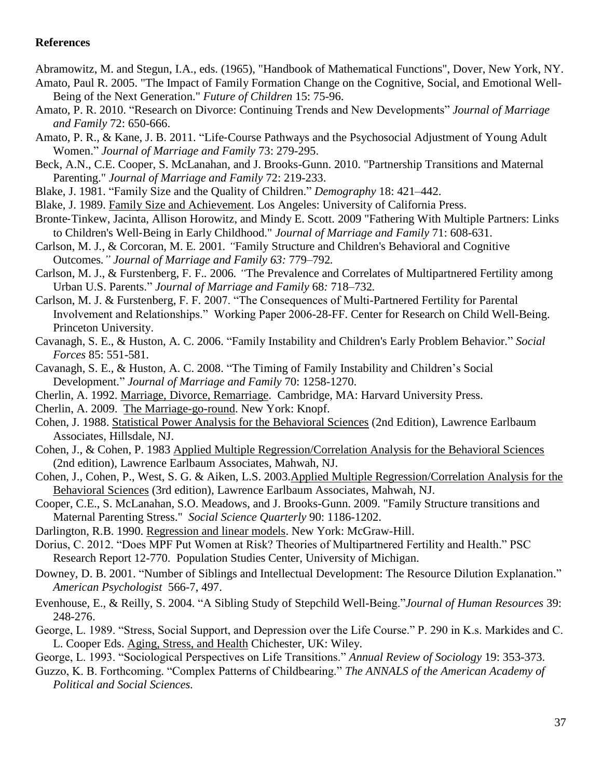#### **References**

Abramowitz, M. and Stegun, I.A., eds. (1965), "Handbook of Mathematical Functions", Dover, New York, NY.

- Amato, Paul R. 2005. "The Impact of Family Formation Change on the Cognitive, Social, and Emotional Well-Being of the Next Generation." *Future of Children* 15: 75-96.
- Amato, P. R. 2010. "Research on Divorce: Continuing Trends and New Developments" *Journal of Marriage and Family* 72: 650-666.
- Amato, P. R., & Kane, J. B. 2011. "Life‐Course Pathways and the Psychosocial Adjustment of Young Adult Women." *Journal of Marriage and Family* 73: 279-295.
- Beck, A.N., C.E. Cooper, S. McLanahan, and J. Brooks-Gunn. 2010. "Partnership Transitions and Maternal Parenting." *Journal of Marriage and Family* 72: 219-233.
- Blake, J. 1981. "Family Size and the Quality of Children." *Demography* 18: 421–442.
- Blake, J. 1989. Family Size and Achievement. Los Angeles: University of California Press.
- Bronte‐Tinkew, Jacinta, Allison Horowitz, and Mindy E. Scott. 2009 "Fathering With Multiple Partners: Links to Children's Well‐Being in Early Childhood." *Journal of Marriage and Family* 71: 608-631.
- Carlson, M. J*.*, & Corcoran, M. E*.* 2001*. "*Family Structure and Children's Behavioral and Cognitive Outcomes*." Journal of Marriage and Family 63:* 779*–*792*.*
- Carlson, M. J., & Furstenberg, F. F.*.* 2006*. "*The Prevalence and Correlates of Multipartnered Fertility among Urban U.S. Parents." *Journal of Marriage and Family* 68*:* 718*–*732*.*

Carlson, M. J. & Furstenberg, F. F. 2007. "The Consequences of Multi-Partnered Fertility for Parental Involvement and Relationships." Working Paper 2006-28-FF. Center for Research on Child Well-Being. Princeton University.

- Cavanagh, S. E., & Huston, A. C. 2006. "Family Instability and Children's Early Problem Behavior." *Social Forces* 85: 551-581.
- Cavanagh, S. E., & Huston, A. C. 2008. "The Timing of Family Instability and Children's Social Development." *Journal of Marriage and Family* 70: 1258-1270.
- Cherlin, A. 1992. Marriage, Divorce, Remarriage. Cambridge, MA: Harvard University Press.
- Cherlin, A. 2009. The Marriage-go-round. New York: Knopf.
- Cohen, J. 1988. Statistical Power Analysis for the Behavioral Sciences (2nd Edition), Lawrence Earlbaum Associates, Hillsdale, NJ.
- Cohen, J., & Cohen, P. 1983 Applied Multiple Regression/Correlation Analysis for the Behavioral Sciences (2nd edition), Lawrence Earlbaum Associates, Mahwah, NJ.
- Cohen, J., Cohen, P., West, S. G. & Aiken, L.S. 2003.Applied Multiple Regression/Correlation Analysis for the Behavioral Sciences (3rd edition), Lawrence Earlbaum Associates, Mahwah, NJ.
- Cooper, C.E., S. McLanahan, S.O. Meadows, and J. Brooks-Gunn. 2009. "Family Structure transitions and Maternal Parenting Stress." *Social Science Quarterly* 90: 1186-1202.
- Darlington, R.B. 1990. Regression and linear models. New York: McGraw-Hill.
- Dorius, C. 2012. "Does MPF Put Women at Risk? Theories of Multipartnered Fertility and Health." PSC Research Report 12-770. Population Studies Center, University of Michigan.
- Downey, D. B. 2001. "Number of Siblings and Intellectual Development: The Resource Dilution Explanation." *American Psychologist* 566-7, 497.
- Evenhouse, E., & Reilly, S. 2004. "A Sibling Study of Stepchild Well-Being."*Journal of Human Resources* 39: 248-276.
- George, L. 1989. "Stress, Social Support, and Depression over the Life Course." P. 290 in K.s. Markides and C. L. Cooper Eds. Aging, Stress, and Health Chichester, UK: Wiley.
- George, L. 1993. "Sociological Perspectives on Life Transitions." *Annual Review of Sociology* 19: 353-373.
- Guzzo, K. B. Forthcoming. "Complex Patterns of Childbearing." *The ANNALS of the American Academy of Political and Social Sciences.*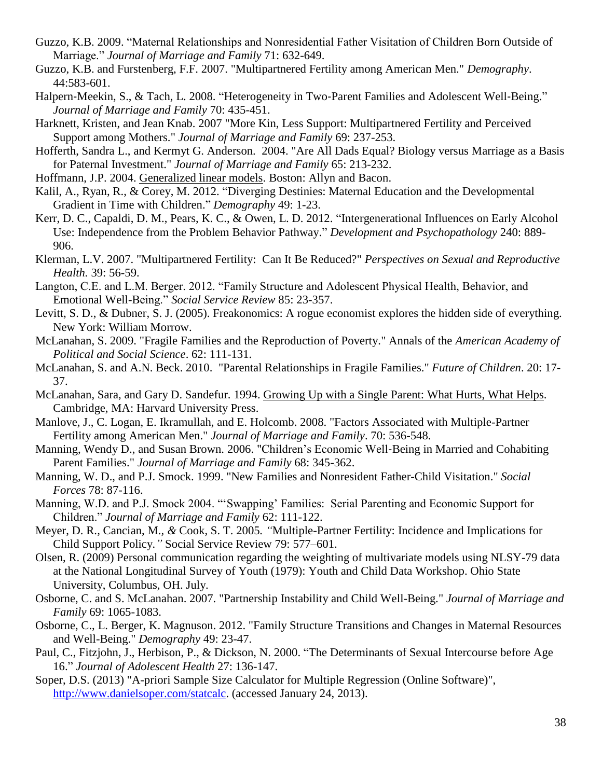- Guzzo, K.B. 2009. "Maternal Relationships and Nonresidential Father Visitation of Children Born Outside of Marriage." *Journal of Marriage and Family* 71: 632-649.
- Guzzo, K.B. and Furstenberg, F.F. 2007. "Multipartnered Fertility among American Men." *Demography*. 44:583-601.
- Halpern-Meekin, S., & Tach, L. 2008. "Heterogeneity in Two-Parent Families and Adolescent Well-Being." *Journal of Marriage and Family* 70: 435-451.
- Harknett, Kristen, and Jean Knab. 2007 "More Kin, Less Support: Multipartnered Fertility and Perceived Support among Mothers." *Journal of Marriage and Family* 69: 237-253.
- Hofferth, Sandra L., and Kermyt G. Anderson. 2004. "Are All Dads Equal? Biology versus Marriage as a Basis for Paternal Investment." *Journal of Marriage and Family* 65: 213-232.
- Hoffmann, J.P. 2004. Generalized linear models. Boston: Allyn and Bacon.
- Kalil, A., Ryan, R., & Corey, M. 2012. "Diverging Destinies: Maternal Education and the Developmental Gradient in Time with Children." *Demography* 49: 1-23.
- Kerr, D. C., Capaldi, D. M., Pears, K. C., & Owen, L. D. 2012. "Intergenerational Influences on Early Alcohol Use: Independence from the Problem Behavior Pathway." *Development and Psychopathology* 240: 889- 906.
- Klerman, L.V. 2007. "Multipartnered Fertility: Can It Be Reduced?" *Perspectives on Sexual and Reproductive Health.* 39: 56-59.
- Langton, C.E. and L.M. Berger. 2012. "Family Structure and Adolescent Physical Health, Behavior, and Emotional Well-Being." *Social Service Review* 85: 23-357.
- Levitt, S. D., & Dubner, S. J. (2005). Freakonomics: A rogue economist explores the hidden side of everything. New York: William Morrow.
- McLanahan, S. 2009. "Fragile Families and the Reproduction of Poverty." Annals of the *American Academy of Political and Social Science*. 62: 111-131.
- McLanahan, S. and A.N. Beck. 2010. "Parental Relationships in Fragile Families." *Future of Children*. 20: 17- 37.
- McLanahan, Sara, and Gary D. Sandefur. 1994. Growing Up with a Single Parent: What Hurts, What Helps. Cambridge, MA: Harvard University Press.
- Manlove, J., C. Logan, E. Ikramullah, and E. Holcomb. 2008. "Factors Associated with Multiple-Partner Fertility among American Men." *Journal of Marriage and Family*. 70: 536-548.
- Manning, Wendy D., and Susan Brown. 2006. "Children's Economic Well-Being in Married and Cohabiting Parent Families." *Journal of Marriage and Family* 68: 345-362.
- Manning, W. D., and P.J. Smock. 1999. "New Families and Nonresident Father-Child Visitation." *Social Forces* 78: 87-116.
- Manning, W.D. and P.J. Smock 2004. "'Swapping' Families: Serial Parenting and Economic Support for Children." *Journal of Marriage and Family* 62: 111-122.
- Meyer, D. R.*,* Cancian, M.*, &* Cook, S. T. 2005*. "*Multiple-Partner Fertility: Incidence and Implications for Child Support Policy*."* Social Service Review 79: 577*–*601.
- Olsen, R. (2009) Personal communication regarding the weighting of multivariate models using NLSY-79 data at the National Longitudinal Survey of Youth (1979): Youth and Child Data Workshop. Ohio State University, Columbus, OH. July.
- Osborne, C. and S. McLanahan. 2007. "Partnership Instability and Child Well-Being." *Journal of Marriage and Family* 69: 1065-1083.
- Osborne, C., L. Berger, K. Magnuson. 2012. "Family Structure Transitions and Changes in Maternal Resources and Well-Being." *Demography* 49: 23-47.
- Paul, C., Fitzjohn, J., Herbison, P., & Dickson, N. 2000. "The Determinants of Sexual Intercourse before Age 16." *Journal of Adolescent Health* 27: 136-147.
- Soper, D.S. (2013) "A-priori Sample Size Calculator for Multiple Regression (Online Software)", [http://www.danielsoper.com/statcalc.](http://www.danielsoper.com/statcalc) (accessed January 24, 2013).